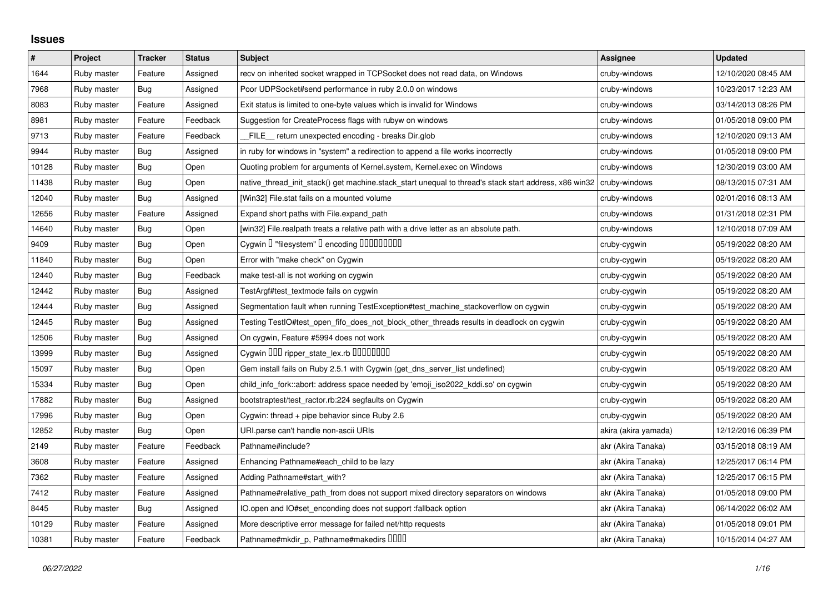## **Issues**

| $\vert$ # | Project     | <b>Tracker</b> | <b>Status</b> | <b>Subject</b>                                                                                        | <b>Assignee</b>      | <b>Updated</b>      |
|-----------|-------------|----------------|---------------|-------------------------------------------------------------------------------------------------------|----------------------|---------------------|
| 1644      | Ruby master | Feature        | Assigned      | recv on inherited socket wrapped in TCPSocket does not read data, on Windows                          | cruby-windows        | 12/10/2020 08:45 AM |
| 7968      | Ruby master | Bug            | Assigned      | Poor UDPSocket#send performance in ruby 2.0.0 on windows                                              | cruby-windows        | 10/23/2017 12:23 AM |
| 8083      | Ruby master | Feature        | Assigned      | Exit status is limited to one-byte values which is invalid for Windows                                | cruby-windows        | 03/14/2013 08:26 PM |
| 8981      | Ruby master | Feature        | Feedback      | Suggestion for CreateProcess flags with rubyw on windows                                              | cruby-windows        | 01/05/2018 09:00 PM |
| 9713      | Ruby master | Feature        | Feedback      | FILE_ return unexpected encoding - breaks Dir.glob                                                    | cruby-windows        | 12/10/2020 09:13 AM |
| 9944      | Ruby master | <b>Bug</b>     | Assigned      | in ruby for windows in "system" a redirection to append a file works incorrectly                      | cruby-windows        | 01/05/2018 09:00 PM |
| 10128     | Ruby master | <b>Bug</b>     | Open          | Quoting problem for arguments of Kernel.system, Kernel.exec on Windows                                | cruby-windows        | 12/30/2019 03:00 AM |
| 11438     | Ruby master | <b>Bug</b>     | Open          | native_thread_init_stack() get machine.stack_start unequal to thread's stack start address, x86 win32 | cruby-windows        | 08/13/2015 07:31 AM |
| 12040     | Ruby master | <b>Bug</b>     | Assigned      | [Win32] File.stat fails on a mounted volume                                                           | cruby-windows        | 02/01/2016 08:13 AM |
| 12656     | Ruby master | Feature        | Assigned      | Expand short paths with File.expand_path                                                              | cruby-windows        | 01/31/2018 02:31 PM |
| 14640     | Ruby master | <b>Bug</b>     | Open          | [win32] File.realpath treats a relative path with a drive letter as an absolute path.                 | cruby-windows        | 12/10/2018 07:09 AM |
| 9409      | Ruby master | <b>Bug</b>     | Open          | Cygwin I "filesystem" I encoding IIIIIIIIIIIII                                                        | cruby-cygwin         | 05/19/2022 08:20 AM |
| 11840     | Ruby master | <b>Bug</b>     | Open          | Error with "make check" on Cygwin                                                                     | cruby-cygwin         | 05/19/2022 08:20 AM |
| 12440     | Ruby master | Bug            | Feedback      | make test-all is not working on cygwin                                                                | cruby-cygwin         | 05/19/2022 08:20 AM |
| 12442     | Ruby master | <b>Bug</b>     | Assigned      | TestArgf#test_textmode fails on cygwin                                                                | cruby-cygwin         | 05/19/2022 08:20 AM |
| 12444     | Ruby master | <b>Bug</b>     | Assigned      | Segmentation fault when running TestException#test_machine_stackoverflow on cygwin                    | cruby-cygwin         | 05/19/2022 08:20 AM |
| 12445     | Ruby master | Bug            | Assigned      | Testing TestIO#test_open_fifo_does_not_block_other_threads results in deadlock on cygwin              | cruby-cygwin         | 05/19/2022 08:20 AM |
| 12506     | Ruby master | <b>Bug</b>     | Assigned      | On cygwin, Feature #5994 does not work                                                                | cruby-cygwin         | 05/19/2022 08:20 AM |
| 13999     | Ruby master | <b>Bug</b>     | Assigned      | Cygwin DDD ripper_state_lex.rb DDDDDDDD                                                               | cruby-cygwin         | 05/19/2022 08:20 AM |
| 15097     | Ruby master | <b>Bug</b>     | Open          | Gem install fails on Ruby 2.5.1 with Cygwin (get_dns_server_list undefined)                           | cruby-cygwin         | 05/19/2022 08:20 AM |
| 15334     | Ruby master | <b>Bug</b>     | Open          | child_info_fork::abort: address space needed by 'emoji_iso2022_kddi.so' on cygwin                     | cruby-cygwin         | 05/19/2022 08:20 AM |
| 17882     | Ruby master | <b>Bug</b>     | Assigned      | bootstraptest/test_ractor.rb:224 segfaults on Cygwin                                                  | cruby-cygwin         | 05/19/2022 08:20 AM |
| 17996     | Ruby master | <b>Bug</b>     | Open          | Cygwin: thread + pipe behavior since Ruby 2.6                                                         | cruby-cygwin         | 05/19/2022 08:20 AM |
| 12852     | Ruby master | <b>Bug</b>     | Open          | URI.parse can't handle non-ascii URIs                                                                 | akira (akira yamada) | 12/12/2016 06:39 PM |
| 2149      | Ruby master | Feature        | Feedback      | Pathname#include?                                                                                     | akr (Akira Tanaka)   | 03/15/2018 08:19 AM |
| 3608      | Ruby master | Feature        | Assigned      | Enhancing Pathname#each_child to be lazy                                                              | akr (Akira Tanaka)   | 12/25/2017 06:14 PM |
| 7362      | Ruby master | Feature        | Assigned      | Adding Pathname#start_with?                                                                           | akr (Akira Tanaka)   | 12/25/2017 06:15 PM |
| 7412      | Ruby master | Feature        | Assigned      | Pathname#relative_path_from does not support mixed directory separators on windows                    | akr (Akira Tanaka)   | 01/05/2018 09:00 PM |
| 8445      | Ruby master | <b>Bug</b>     | Assigned      | IO.open and IO#set_enconding does not support : fallback option                                       | akr (Akira Tanaka)   | 06/14/2022 06:02 AM |
| 10129     | Ruby master | Feature        | Assigned      | More descriptive error message for failed net/http requests                                           | akr (Akira Tanaka)   | 01/05/2018 09:01 PM |
| 10381     | Ruby master | Feature        | Feedback      | Pathname#mkdir_p, Pathname#makedirs IIIII                                                             | akr (Akira Tanaka)   | 10/15/2014 04:27 AM |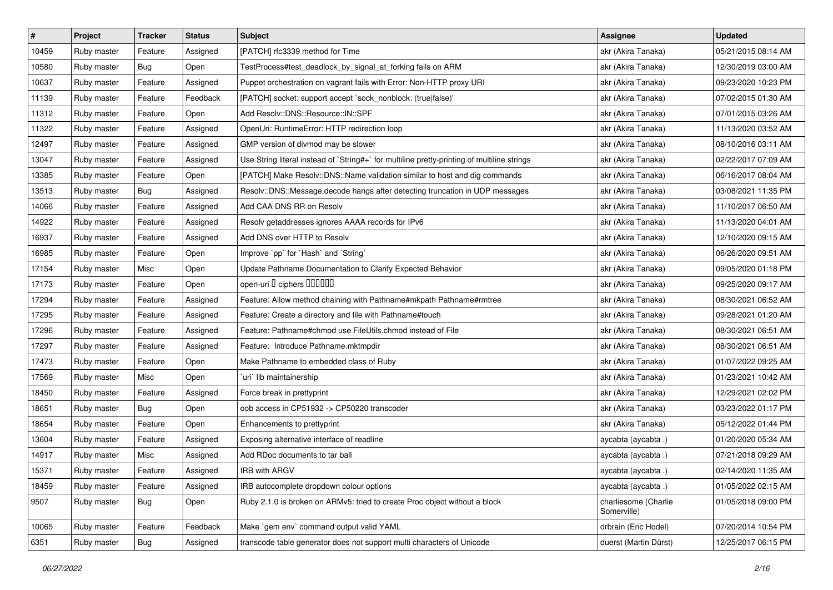| $\vert$ # | Project     | <b>Tracker</b> | <b>Status</b> | <b>Subject</b>                                                                              | <b>Assignee</b>                     | <b>Updated</b>      |
|-----------|-------------|----------------|---------------|---------------------------------------------------------------------------------------------|-------------------------------------|---------------------|
| 10459     | Ruby master | Feature        | Assigned      | [PATCH] rfc3339 method for Time                                                             | akr (Akira Tanaka)                  | 05/21/2015 08:14 AM |
| 10580     | Ruby master | <b>Bug</b>     | Open          | TestProcess#test_deadlock_by_signal_at_forking fails on ARM                                 | akr (Akira Tanaka)                  | 12/30/2019 03:00 AM |
| 10637     | Ruby master | Feature        | Assigned      | Puppet orchestration on vagrant fails with Error: Non-HTTP proxy URI                        | akr (Akira Tanaka)                  | 09/23/2020 10:23 PM |
| 11139     | Ruby master | Feature        | Feedback      | [PATCH] socket: support accept `sock_nonblock: (true false)'                                | akr (Akira Tanaka)                  | 07/02/2015 01:30 AM |
| 11312     | Ruby master | Feature        | Open          | Add Resolv::DNS::Resource::IN::SPF                                                          | akr (Akira Tanaka)                  | 07/01/2015 03:26 AM |
| 11322     | Ruby master | Feature        | Assigned      | OpenUri: RuntimeError: HTTP redirection loop                                                | akr (Akira Tanaka)                  | 11/13/2020 03:52 AM |
| 12497     | Ruby master | Feature        | Assigned      | GMP version of divmod may be slower                                                         | akr (Akira Tanaka)                  | 08/10/2016 03:11 AM |
| 13047     | Ruby master | Feature        | Assigned      | Use String literal instead of `String#+` for multiline pretty-printing of multiline strings | akr (Akira Tanaka)                  | 02/22/2017 07:09 AM |
| 13385     | Ruby master | Feature        | Open          | [PATCH] Make Resolv::DNS::Name validation similar to host and dig commands                  | akr (Akira Tanaka)                  | 06/16/2017 08:04 AM |
| 13513     | Ruby master | <b>Bug</b>     | Assigned      | Resolv::DNS::Message.decode hangs after detecting truncation in UDP messages                | akr (Akira Tanaka)                  | 03/08/2021 11:35 PM |
| 14066     | Ruby master | Feature        | Assigned      | Add CAA DNS RR on Resolv                                                                    | akr (Akira Tanaka)                  | 11/10/2017 06:50 AM |
| 14922     | Ruby master | Feature        | Assigned      | Resolv getaddresses ignores AAAA records for IPv6                                           | akr (Akira Tanaka)                  | 11/13/2020 04:01 AM |
| 16937     | Ruby master | Feature        | Assigned      | Add DNS over HTTP to Resolv                                                                 | akr (Akira Tanaka)                  | 12/10/2020 09:15 AM |
| 16985     | Ruby master | Feature        | Open          | Improve `pp` for `Hash` and `String`                                                        | akr (Akira Tanaka)                  | 06/26/2020 09:51 AM |
| 17154     | Ruby master | Misc           | Open          | Update Pathname Documentation to Clarify Expected Behavior                                  | akr (Akira Tanaka)                  | 09/05/2020 01:18 PM |
| 17173     | Ruby master | Feature        | Open          | open-uri I ciphers IIIIIIII                                                                 | akr (Akira Tanaka)                  | 09/25/2020 09:17 AM |
| 17294     | Ruby master | Feature        | Assigned      | Feature: Allow method chaining with Pathname#mkpath Pathname#rmtree                         | akr (Akira Tanaka)                  | 08/30/2021 06:52 AM |
| 17295     | Ruby master | Feature        | Assigned      | Feature: Create a directory and file with Pathname#touch                                    | akr (Akira Tanaka)                  | 09/28/2021 01:20 AM |
| 17296     | Ruby master | Feature        | Assigned      | Feature: Pathname#chmod use FileUtils.chmod instead of File                                 | akr (Akira Tanaka)                  | 08/30/2021 06:51 AM |
| 17297     | Ruby master | Feature        | Assigned      | Feature: Introduce Pathname.mktmpdir                                                        | akr (Akira Tanaka)                  | 08/30/2021 06:51 AM |
| 17473     | Ruby master | Feature        | Open          | Make Pathname to embedded class of Ruby                                                     | akr (Akira Tanaka)                  | 01/07/2022 09:25 AM |
| 17569     | Ruby master | Misc           | Open          | uri lib maintainership                                                                      | akr (Akira Tanaka)                  | 01/23/2021 10:42 AM |
| 18450     | Ruby master | Feature        | Assigned      | Force break in prettyprint                                                                  | akr (Akira Tanaka)                  | 12/29/2021 02:02 PM |
| 18651     | Ruby master | <b>Bug</b>     | Open          | oob access in CP51932 -> CP50220 transcoder                                                 | akr (Akira Tanaka)                  | 03/23/2022 01:17 PM |
| 18654     | Ruby master | Feature        | Open          | Enhancements to prettyprint                                                                 | akr (Akira Tanaka)                  | 05/12/2022 01:44 PM |
| 13604     | Ruby master | Feature        | Assigned      | Exposing alternative interface of readline                                                  | aycabta (aycabta.)                  | 01/20/2020 05:34 AM |
| 14917     | Ruby master | Misc           | Assigned      | Add RDoc documents to tar ball                                                              | aycabta (aycabta.)                  | 07/21/2018 09:29 AM |
| 15371     | Ruby master | Feature        | Assigned      | IRB with ARGV                                                                               | aycabta (aycabta .)                 | 02/14/2020 11:35 AM |
| 18459     | Ruby master | Feature        | Assigned      | IRB autocomplete dropdown colour options                                                    | aycabta (aycabta .)                 | 01/05/2022 02:15 AM |
| 9507      | Ruby master | Bug            | Open          | Ruby 2.1.0 is broken on ARMv5: tried to create Proc object without a block                  | charliesome (Charlie<br>Somerville) | 01/05/2018 09:00 PM |
| 10065     | Ruby master | Feature        | Feedback      | Make `gem env` command output valid YAML                                                    | drbrain (Eric Hodel)                | 07/20/2014 10:54 PM |
| 6351      | Ruby master | Bug            | Assigned      | transcode table generator does not support multi characters of Unicode                      | duerst (Martin Dürst)               | 12/25/2017 06:15 PM |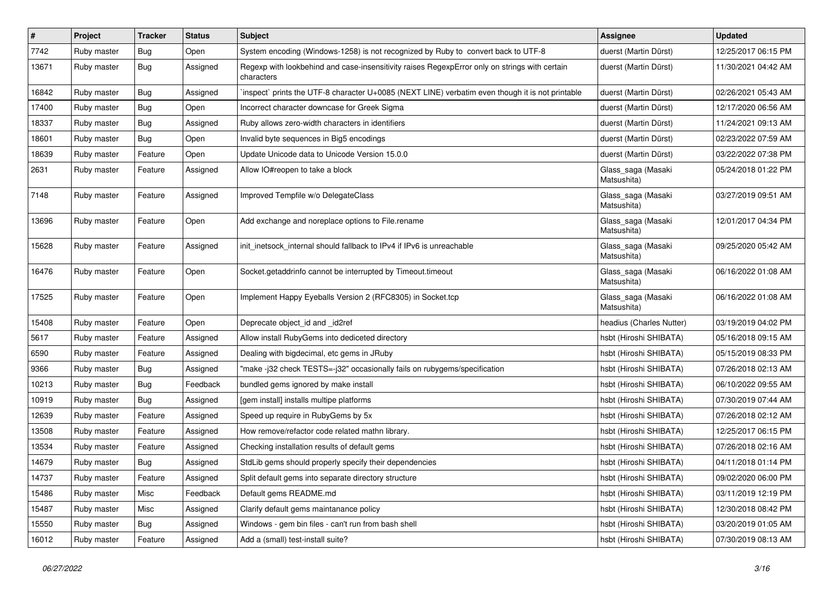| $\vert$ # | Project     | <b>Tracker</b> | <b>Status</b> | <b>Subject</b>                                                                                              | <b>Assignee</b>                   | <b>Updated</b>      |
|-----------|-------------|----------------|---------------|-------------------------------------------------------------------------------------------------------------|-----------------------------------|---------------------|
| 7742      | Ruby master | <b>Bug</b>     | Open          | System encoding (Windows-1258) is not recognized by Ruby to convert back to UTF-8                           | duerst (Martin Dürst)             | 12/25/2017 06:15 PM |
| 13671     | Ruby master | Bug            | Assigned      | Regexp with lookbehind and case-insensitivity raises RegexpError only on strings with certain<br>characters | duerst (Martin Dürst)             | 11/30/2021 04:42 AM |
| 16842     | Ruby master | <b>Bug</b>     | Assigned      | inspect` prints the UTF-8 character U+0085 (NEXT LINE) verbatim even though it is not printable             | duerst (Martin Dürst)             | 02/26/2021 05:43 AM |
| 17400     | Ruby master | <b>Bug</b>     | Open          | Incorrect character downcase for Greek Sigma                                                                | duerst (Martin Dürst)             | 12/17/2020 06:56 AM |
| 18337     | Ruby master | Bug            | Assigned      | Ruby allows zero-width characters in identifiers                                                            | duerst (Martin Dürst)             | 11/24/2021 09:13 AM |
| 18601     | Ruby master | Bug            | Open          | Invalid byte sequences in Big5 encodings                                                                    | duerst (Martin Dürst)             | 02/23/2022 07:59 AM |
| 18639     | Ruby master | Feature        | Open          | Update Unicode data to Unicode Version 15.0.0                                                               | duerst (Martin Dürst)             | 03/22/2022 07:38 PM |
| 2631      | Ruby master | Feature        | Assigned      | Allow IO#reopen to take a block                                                                             | Glass_saga (Masaki<br>Matsushita) | 05/24/2018 01:22 PM |
| 7148      | Ruby master | Feature        | Assigned      | Improved Tempfile w/o DelegateClass                                                                         | Glass_saga (Masaki<br>Matsushita) | 03/27/2019 09:51 AM |
| 13696     | Ruby master | Feature        | Open          | Add exchange and noreplace options to File.rename                                                           | Glass_saga (Masaki<br>Matsushita) | 12/01/2017 04:34 PM |
| 15628     | Ruby master | Feature        | Assigned      | init_inetsock_internal should fallback to IPv4 if IPv6 is unreachable                                       | Glass_saga (Masaki<br>Matsushita) | 09/25/2020 05:42 AM |
| 16476     | Ruby master | Feature        | Open          | Socket.getaddrinfo cannot be interrupted by Timeout.timeout                                                 | Glass_saga (Masaki<br>Matsushita) | 06/16/2022 01:08 AM |
| 17525     | Ruby master | Feature        | Open          | Implement Happy Eyeballs Version 2 (RFC8305) in Socket.tcp                                                  | Glass_saga (Masaki<br>Matsushita) | 06/16/2022 01:08 AM |
| 15408     | Ruby master | Feature        | Open          | Deprecate object_id and _id2ref                                                                             | headius (Charles Nutter)          | 03/19/2019 04:02 PM |
| 5617      | Ruby master | Feature        | Assigned      | Allow install RubyGems into dediceted directory                                                             | hsbt (Hiroshi SHIBATA)            | 05/16/2018 09:15 AM |
| 6590      | Ruby master | Feature        | Assigned      | Dealing with bigdecimal, etc gems in JRuby                                                                  | hsbt (Hiroshi SHIBATA)            | 05/15/2019 08:33 PM |
| 9366      | Ruby master | Bug            | Assigned      | "make -j32 check TESTS=-j32" occasionally fails on rubygems/specification                                   | hsbt (Hiroshi SHIBATA)            | 07/26/2018 02:13 AM |
| 10213     | Ruby master | <b>Bug</b>     | Feedback      | bundled gems ignored by make install                                                                        | hsbt (Hiroshi SHIBATA)            | 06/10/2022 09:55 AM |
| 10919     | Ruby master | <b>Bug</b>     | Assigned      | [gem install] installs multipe platforms                                                                    | hsbt (Hiroshi SHIBATA)            | 07/30/2019 07:44 AM |
| 12639     | Ruby master | Feature        | Assigned      | Speed up require in RubyGems by 5x                                                                          | hsbt (Hiroshi SHIBATA)            | 07/26/2018 02:12 AM |
| 13508     | Ruby master | Feature        | Assigned      | How remove/refactor code related mathn library.                                                             | hsbt (Hiroshi SHIBATA)            | 12/25/2017 06:15 PM |
| 13534     | Ruby master | Feature        | Assigned      | Checking installation results of default gems                                                               | hsbt (Hiroshi SHIBATA)            | 07/26/2018 02:16 AM |
| 14679     | Ruby master | <b>Bug</b>     | Assigned      | StdLib gems should properly specify their dependencies                                                      | hsbt (Hiroshi SHIBATA)            | 04/11/2018 01:14 PM |
| 14737     | Ruby master | Feature        | Assigned      | Split default gems into separate directory structure                                                        | hsbt (Hiroshi SHIBATA)            | 09/02/2020 06:00 PM |
| 15486     | Ruby master | Misc           | Feedback      | Default gems README.md                                                                                      | hsbt (Hiroshi SHIBATA)            | 03/11/2019 12:19 PM |
| 15487     | Ruby master | Misc           | Assigned      | Clarify default gems maintanance policy                                                                     | hsbt (Hiroshi SHIBATA)            | 12/30/2018 08:42 PM |
| 15550     | Ruby master | Bug            | Assigned      | Windows - gem bin files - can't run from bash shell                                                         | hsbt (Hiroshi SHIBATA)            | 03/20/2019 01:05 AM |
| 16012     | Ruby master | Feature        | Assigned      | Add a (small) test-install suite?                                                                           | hsbt (Hiroshi SHIBATA)            | 07/30/2019 08:13 AM |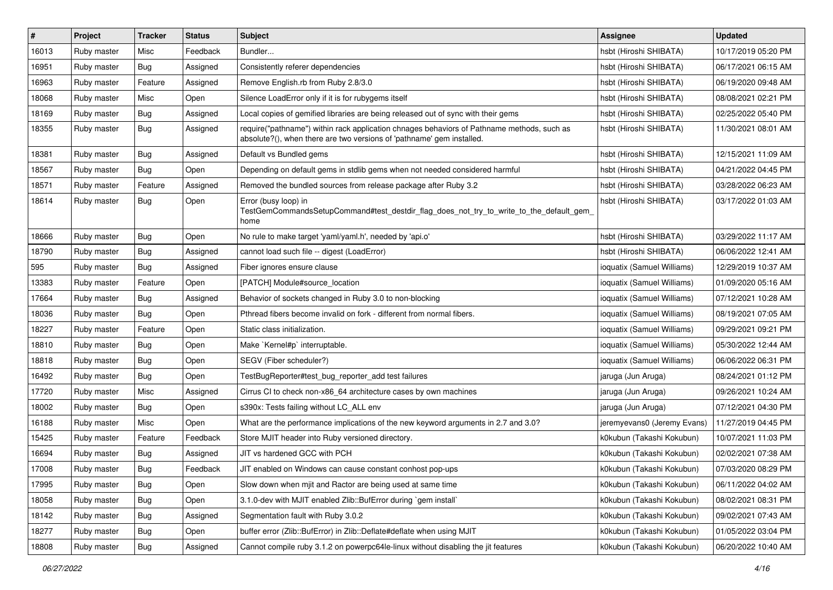| #     | Project     | <b>Tracker</b> | <b>Status</b> | <b>Subject</b>                                                                                                                                                      | <b>Assignee</b>             | <b>Updated</b>      |
|-------|-------------|----------------|---------------|---------------------------------------------------------------------------------------------------------------------------------------------------------------------|-----------------------------|---------------------|
| 16013 | Ruby master | Misc           | Feedback      | Bundler                                                                                                                                                             | hsbt (Hiroshi SHIBATA)      | 10/17/2019 05:20 PM |
| 16951 | Ruby master | <b>Bug</b>     | Assigned      | Consistently referer dependencies                                                                                                                                   | hsbt (Hiroshi SHIBATA)      | 06/17/2021 06:15 AM |
| 16963 | Ruby master | Feature        | Assigned      | Remove English.rb from Ruby 2.8/3.0                                                                                                                                 | hsbt (Hiroshi SHIBATA)      | 06/19/2020 09:48 AM |
| 18068 | Ruby master | Misc           | Open          | Silence LoadError only if it is for rubygems itself                                                                                                                 | hsbt (Hiroshi SHIBATA)      | 08/08/2021 02:21 PM |
| 18169 | Ruby master | <b>Bug</b>     | Assigned      | Local copies of gemified libraries are being released out of sync with their gems                                                                                   | hsbt (Hiroshi SHIBATA)      | 02/25/2022 05:40 PM |
| 18355 | Ruby master | <b>Bug</b>     | Assigned      | require("pathname") within rack application chnages behaviors of Pathname methods, such as<br>absolute?(), when there are two versions of 'pathname' gem installed. | hsbt (Hiroshi SHIBATA)      | 11/30/2021 08:01 AM |
| 18381 | Ruby master | Bug            | Assigned      | Default vs Bundled gems                                                                                                                                             | hsbt (Hiroshi SHIBATA)      | 12/15/2021 11:09 AM |
| 18567 | Ruby master | Bug            | Open          | Depending on default gems in stdlib gems when not needed considered harmful                                                                                         | hsbt (Hiroshi SHIBATA)      | 04/21/2022 04:45 PM |
| 18571 | Ruby master | Feature        | Assigned      | Removed the bundled sources from release package after Ruby 3.2                                                                                                     | hsbt (Hiroshi SHIBATA)      | 03/28/2022 06:23 AM |
| 18614 | Ruby master | Bug            | Open          | Error (busy loop) in<br>TestGemCommandsSetupCommand#test_destdir_flag_does_not_try_to_write_to_the_default_gem_<br>home                                             | hsbt (Hiroshi SHIBATA)      | 03/17/2022 01:03 AM |
| 18666 | Ruby master | <b>Bug</b>     | Open          | No rule to make target 'yaml/yaml.h', needed by 'api.o'                                                                                                             | hsbt (Hiroshi SHIBATA)      | 03/29/2022 11:17 AM |
| 18790 | Ruby master | Bug            | Assigned      | cannot load such file -- digest (LoadError)                                                                                                                         | hsbt (Hiroshi SHIBATA)      | 06/06/2022 12:41 AM |
| 595   | Ruby master | <b>Bug</b>     | Assigned      | Fiber ignores ensure clause                                                                                                                                         | ioquatix (Samuel Williams)  | 12/29/2019 10:37 AM |
| 13383 | Ruby master | Feature        | Open          | [PATCH] Module#source location                                                                                                                                      | ioquatix (Samuel Williams)  | 01/09/2020 05:16 AM |
| 17664 | Ruby master | Bug            | Assigned      | Behavior of sockets changed in Ruby 3.0 to non-blocking                                                                                                             | ioquatix (Samuel Williams)  | 07/12/2021 10:28 AM |
| 18036 | Ruby master | Bug            | Open          | Pthread fibers become invalid on fork - different from normal fibers.                                                                                               | ioquatix (Samuel Williams)  | 08/19/2021 07:05 AM |
| 18227 | Ruby master | Feature        | Open          | Static class initialization.                                                                                                                                        | ioquatix (Samuel Williams)  | 09/29/2021 09:21 PM |
| 18810 | Ruby master | <b>Bug</b>     | Open          | Make `Kernel#p` interruptable.                                                                                                                                      | ioquatix (Samuel Williams)  | 05/30/2022 12:44 AM |
| 18818 | Ruby master | <b>Bug</b>     | Open          | SEGV (Fiber scheduler?)                                                                                                                                             | ioquatix (Samuel Williams)  | 06/06/2022 06:31 PM |
| 16492 | Ruby master | <b>Bug</b>     | Open          | TestBugReporter#test bug reporter add test failures                                                                                                                 | jaruga (Jun Aruga)          | 08/24/2021 01:12 PM |
| 17720 | Ruby master | Misc           | Assigned      | Cirrus CI to check non-x86_64 architecture cases by own machines                                                                                                    | jaruga (Jun Aruga)          | 09/26/2021 10:24 AM |
| 18002 | Ruby master | <b>Bug</b>     | Open          | s390x: Tests failing without LC_ALL env                                                                                                                             | jaruga (Jun Aruga)          | 07/12/2021 04:30 PM |
| 16188 | Ruby master | Misc           | Open          | What are the performance implications of the new keyword arguments in 2.7 and 3.0?                                                                                  | jeremyevans0 (Jeremy Evans) | 11/27/2019 04:45 PM |
| 15425 | Ruby master | Feature        | Feedback      | Store MJIT header into Ruby versioned directory.                                                                                                                    | k0kubun (Takashi Kokubun)   | 10/07/2021 11:03 PM |
| 16694 | Ruby master | <b>Bug</b>     | Assigned      | JIT vs hardened GCC with PCH                                                                                                                                        | k0kubun (Takashi Kokubun)   | 02/02/2021 07:38 AM |
| 17008 | Ruby master | Bug            | Feedback      | JIT enabled on Windows can cause constant conhost pop-ups                                                                                                           | k0kubun (Takashi Kokubun)   | 07/03/2020 08:29 PM |
| 17995 | Ruby master | <b>Bug</b>     | Open          | Slow down when mjit and Ractor are being used at same time                                                                                                          | k0kubun (Takashi Kokubun)   | 06/11/2022 04:02 AM |
| 18058 | Ruby master | Bug            | Open          | 3.1.0-dev with MJIT enabled Zlib::BufError during `gem install`                                                                                                     | k0kubun (Takashi Kokubun)   | 08/02/2021 08:31 PM |
| 18142 | Ruby master | <b>Bug</b>     | Assigned      | Segmentation fault with Ruby 3.0.2                                                                                                                                  | k0kubun (Takashi Kokubun)   | 09/02/2021 07:43 AM |
| 18277 | Ruby master | <b>Bug</b>     | Open          | buffer error (Zlib::BufError) in Zlib::Deflate#deflate when using MJIT                                                                                              | k0kubun (Takashi Kokubun)   | 01/05/2022 03:04 PM |
| 18808 | Ruby master | <b>Bug</b>     | Assigned      | Cannot compile ruby 3.1.2 on powerpc64le-linux without disabling the jit features                                                                                   | k0kubun (Takashi Kokubun)   | 06/20/2022 10:40 AM |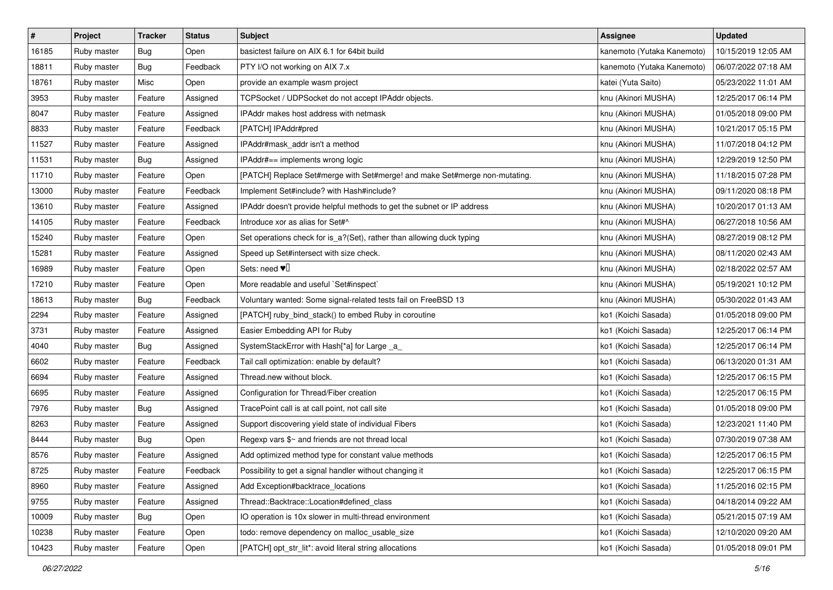| $\pmb{\#}$ | Project     | <b>Tracker</b> | <b>Status</b> | <b>Subject</b>                                                             | <b>Assignee</b>            | <b>Updated</b>      |
|------------|-------------|----------------|---------------|----------------------------------------------------------------------------|----------------------------|---------------------|
| 16185      | Ruby master | <b>Bug</b>     | Open          | basictest failure on AIX 6.1 for 64bit build                               | kanemoto (Yutaka Kanemoto) | 10/15/2019 12:05 AM |
| 18811      | Ruby master | Bug            | Feedback      | PTY I/O not working on AIX 7.x                                             | kanemoto (Yutaka Kanemoto) | 06/07/2022 07:18 AM |
| 18761      | Ruby master | Misc           | Open          | provide an example wasm project                                            | katei (Yuta Saito)         | 05/23/2022 11:01 AM |
| 3953       | Ruby master | Feature        | Assigned      | TCPSocket / UDPSocket do not accept IPAddr objects.                        | knu (Akinori MUSHA)        | 12/25/2017 06:14 PM |
| 8047       | Ruby master | Feature        | Assigned      | IPAddr makes host address with netmask                                     | knu (Akinori MUSHA)        | 01/05/2018 09:00 PM |
| 8833       | Ruby master | Feature        | Feedback      | [PATCH] IPAddr#pred                                                        | knu (Akinori MUSHA)        | 10/21/2017 05:15 PM |
| 11527      | Ruby master | Feature        | Assigned      | IPAddr#mask_addr isn't a method                                            | knu (Akinori MUSHA)        | 11/07/2018 04:12 PM |
| 11531      | Ruby master | Bug            | Assigned      | IPAddr#== implements wrong logic                                           | knu (Akinori MUSHA)        | 12/29/2019 12:50 PM |
| 11710      | Ruby master | Feature        | Open          | [PATCH] Replace Set#merge with Set#merge! and make Set#merge non-mutating. | knu (Akinori MUSHA)        | 11/18/2015 07:28 PM |
| 13000      | Ruby master | Feature        | Feedback      | Implement Set#include? with Hash#include?                                  | knu (Akinori MUSHA)        | 09/11/2020 08:18 PM |
| 13610      | Ruby master | Feature        | Assigned      | IPAddr doesn't provide helpful methods to get the subnet or IP address     | knu (Akinori MUSHA)        | 10/20/2017 01:13 AM |
| 14105      | Ruby master | Feature        | Feedback      | Introduce xor as alias for Set#^                                           | knu (Akinori MUSHA)        | 06/27/2018 10:56 AM |
| 15240      | Ruby master | Feature        | Open          | Set operations check for is_a?(Set), rather than allowing duck typing      | knu (Akinori MUSHA)        | 08/27/2019 08:12 PM |
| 15281      | Ruby master | Feature        | Assigned      | Speed up Set#intersect with size check.                                    | knu (Akinori MUSHA)        | 08/11/2020 02:43 AM |
| 16989      | Ruby master | Feature        | Open          | Sets: need $\Psi$                                                          | knu (Akinori MUSHA)        | 02/18/2022 02:57 AM |
| 17210      | Ruby master | Feature        | Open          | More readable and useful `Set#inspect`                                     | knu (Akinori MUSHA)        | 05/19/2021 10:12 PM |
| 18613      | Ruby master | <b>Bug</b>     | Feedback      | Voluntary wanted: Some signal-related tests fail on FreeBSD 13             | knu (Akinori MUSHA)        | 05/30/2022 01:43 AM |
| 2294       | Ruby master | Feature        | Assigned      | [PATCH] ruby_bind_stack() to embed Ruby in coroutine                       | ko1 (Koichi Sasada)        | 01/05/2018 09:00 PM |
| 3731       | Ruby master | Feature        | Assigned      | Easier Embedding API for Ruby                                              | ko1 (Koichi Sasada)        | 12/25/2017 06:14 PM |
| 4040       | Ruby master | Bug            | Assigned      | SystemStackError with Hash[*a] for Large _a_                               | ko1 (Koichi Sasada)        | 12/25/2017 06:14 PM |
| 6602       | Ruby master | Feature        | Feedback      | Tail call optimization: enable by default?                                 | ko1 (Koichi Sasada)        | 06/13/2020 01:31 AM |
| 6694       | Ruby master | Feature        | Assigned      | Thread.new without block.                                                  | ko1 (Koichi Sasada)        | 12/25/2017 06:15 PM |
| 6695       | Ruby master | Feature        | Assigned      | Configuration for Thread/Fiber creation                                    | ko1 (Koichi Sasada)        | 12/25/2017 06:15 PM |
| 7976       | Ruby master | <b>Bug</b>     | Assigned      | TracePoint call is at call point, not call site                            | ko1 (Koichi Sasada)        | 01/05/2018 09:00 PM |
| 8263       | Ruby master | Feature        | Assigned      | Support discovering yield state of individual Fibers                       | ko1 (Koichi Sasada)        | 12/23/2021 11:40 PM |
| 8444       | Ruby master | Bug            | Open          | Regexp vars \$~ and friends are not thread local                           | ko1 (Koichi Sasada)        | 07/30/2019 07:38 AM |
| 8576       | Ruby master | Feature        | Assigned      | Add optimized method type for constant value methods                       | ko1 (Koichi Sasada)        | 12/25/2017 06:15 PM |
| 8725       | Ruby master | Feature        | Feedback      | Possibility to get a signal handler without changing it                    | ko1 (Koichi Sasada)        | 12/25/2017 06:15 PM |
| 8960       | Ruby master | Feature        | Assigned      | Add Exception#backtrace locations                                          | ko1 (Koichi Sasada)        | 11/25/2016 02:15 PM |
| 9755       | Ruby master | Feature        | Assigned      | Thread::Backtrace::Location#defined_class                                  | ko1 (Koichi Sasada)        | 04/18/2014 09:22 AM |
| 10009      | Ruby master | Bug            | Open          | IO operation is 10x slower in multi-thread environment                     | ko1 (Koichi Sasada)        | 05/21/2015 07:19 AM |
| 10238      | Ruby master | Feature        | Open          | todo: remove dependency on malloc usable size                              | ko1 (Koichi Sasada)        | 12/10/2020 09:20 AM |
| 10423      | Ruby master | Feature        | Open          | [PATCH] opt_str_lit*: avoid literal string allocations                     | ko1 (Koichi Sasada)        | 01/05/2018 09:01 PM |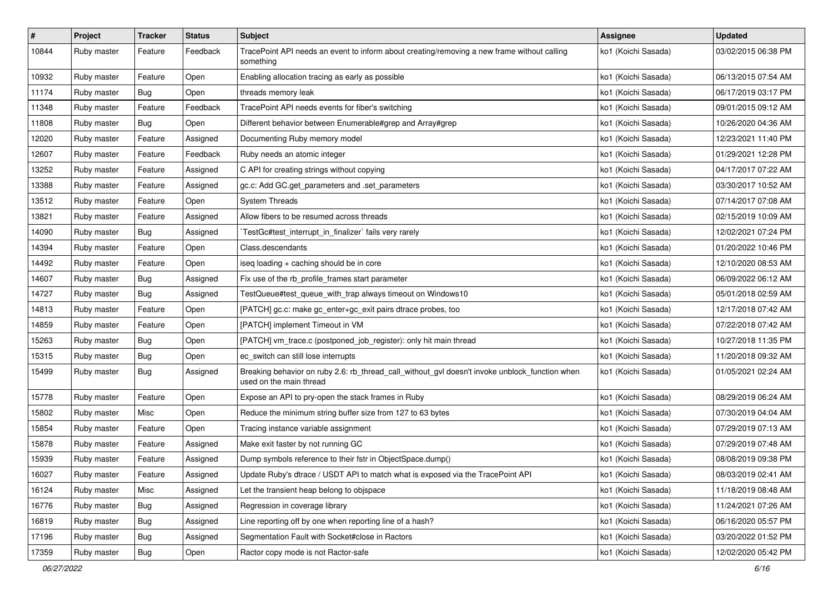| $\pmb{\#}$ | Project     | <b>Tracker</b> | <b>Status</b> | Subject                                                                                                                   | <b>Assignee</b>     | <b>Updated</b>      |
|------------|-------------|----------------|---------------|---------------------------------------------------------------------------------------------------------------------------|---------------------|---------------------|
| 10844      | Ruby master | Feature        | Feedback      | TracePoint API needs an event to inform about creating/removing a new frame without calling<br>something                  | ko1 (Koichi Sasada) | 03/02/2015 06:38 PM |
| 10932      | Ruby master | Feature        | Open          | Enabling allocation tracing as early as possible                                                                          | ko1 (Koichi Sasada) | 06/13/2015 07:54 AM |
| 11174      | Ruby master | Bug            | Open          | threads memory leak                                                                                                       | ko1 (Koichi Sasada) | 06/17/2019 03:17 PM |
| 11348      | Ruby master | Feature        | Feedback      | TracePoint API needs events for fiber's switching                                                                         | ko1 (Koichi Sasada) | 09/01/2015 09:12 AM |
| 11808      | Ruby master | Bug            | Open          | Different behavior between Enumerable#grep and Array#grep                                                                 | ko1 (Koichi Sasada) | 10/26/2020 04:36 AM |
| 12020      | Ruby master | Feature        | Assigned      | Documenting Ruby memory model                                                                                             | ko1 (Koichi Sasada) | 12/23/2021 11:40 PM |
| 12607      | Ruby master | Feature        | Feedback      | Ruby needs an atomic integer                                                                                              | ko1 (Koichi Sasada) | 01/29/2021 12:28 PM |
| 13252      | Ruby master | Feature        | Assigned      | C API for creating strings without copying                                                                                | ko1 (Koichi Sasada) | 04/17/2017 07:22 AM |
| 13388      | Ruby master | Feature        | Assigned      | gc.c: Add GC.get_parameters and .set_parameters                                                                           | ko1 (Koichi Sasada) | 03/30/2017 10:52 AM |
| 13512      | Ruby master | Feature        | Open          | <b>System Threads</b>                                                                                                     | ko1 (Koichi Sasada) | 07/14/2017 07:08 AM |
| 13821      | Ruby master | Feature        | Assigned      | Allow fibers to be resumed across threads                                                                                 | ko1 (Koichi Sasada) | 02/15/2019 10:09 AM |
| 14090      | Ruby master | Bug            | Assigned      | TestGc#test_interrupt_in_finalizer` fails very rarely                                                                     | ko1 (Koichi Sasada) | 12/02/2021 07:24 PM |
| 14394      | Ruby master | Feature        | Open          | Class.descendants                                                                                                         | ko1 (Koichi Sasada) | 01/20/2022 10:46 PM |
| 14492      | Ruby master | Feature        | Open          | iseq loading + caching should be in core                                                                                  | ko1 (Koichi Sasada) | 12/10/2020 08:53 AM |
| 14607      | Ruby master | Bug            | Assigned      | Fix use of the rb_profile_frames start parameter                                                                          | ko1 (Koichi Sasada) | 06/09/2022 06:12 AM |
| 14727      | Ruby master | <b>Bug</b>     | Assigned      | TestQueue#test_queue_with_trap always timeout on Windows10                                                                | ko1 (Koichi Sasada) | 05/01/2018 02:59 AM |
| 14813      | Ruby master | Feature        | Open          | [PATCH] gc.c: make gc_enter+gc_exit pairs dtrace probes, too                                                              | ko1 (Koichi Sasada) | 12/17/2018 07:42 AM |
| 14859      | Ruby master | Feature        | Open          | [PATCH] implement Timeout in VM                                                                                           | ko1 (Koichi Sasada) | 07/22/2018 07:42 AM |
| 15263      | Ruby master | Bug            | Open          | [PATCH] vm_trace.c (postponed_job_register): only hit main thread                                                         | ko1 (Koichi Sasada) | 10/27/2018 11:35 PM |
| 15315      | Ruby master | <b>Bug</b>     | Open          | ec_switch can still lose interrupts                                                                                       | ko1 (Koichi Sasada) | 11/20/2018 09:32 AM |
| 15499      | Ruby master | Bug            | Assigned      | Breaking behavior on ruby 2.6: rb_thread_call_without_gvl doesn't invoke unblock_function when<br>used on the main thread | ko1 (Koichi Sasada) | 01/05/2021 02:24 AM |
| 15778      | Ruby master | Feature        | Open          | Expose an API to pry-open the stack frames in Ruby                                                                        | ko1 (Koichi Sasada) | 08/29/2019 06:24 AM |
| 15802      | Ruby master | Misc           | Open          | Reduce the minimum string buffer size from 127 to 63 bytes                                                                | ko1 (Koichi Sasada) | 07/30/2019 04:04 AM |
| 15854      | Ruby master | Feature        | Open          | Tracing instance variable assignment                                                                                      | ko1 (Koichi Sasada) | 07/29/2019 07:13 AM |
| 15878      | Ruby master | Feature        | Assigned      | Make exit faster by not running GC                                                                                        | ko1 (Koichi Sasada) | 07/29/2019 07:48 AM |
| 15939      | Ruby master | Feature        | Assigned      | Dump symbols reference to their fstr in ObjectSpace.dump()                                                                | ko1 (Koichi Sasada) | 08/08/2019 09:38 PM |
| 16027      | Ruby master | Feature        | Assigned      | Update Ruby's dtrace / USDT API to match what is exposed via the TracePoint API                                           | ko1 (Koichi Sasada) | 08/03/2019 02:41 AM |
| 16124      | Ruby master | Misc           | Assigned      | Let the transient heap belong to objspace                                                                                 | ko1 (Koichi Sasada) | 11/18/2019 08:48 AM |
| 16776      | Ruby master | <b>Bug</b>     | Assigned      | Regression in coverage library                                                                                            | ko1 (Koichi Sasada) | 11/24/2021 07:26 AM |
| 16819      | Ruby master | <b>Bug</b>     | Assigned      | Line reporting off by one when reporting line of a hash?                                                                  | ko1 (Koichi Sasada) | 06/16/2020 05:57 PM |
| 17196      | Ruby master | <b>Bug</b>     | Assigned      | Segmentation Fault with Socket#close in Ractors                                                                           | ko1 (Koichi Sasada) | 03/20/2022 01:52 PM |
| 17359      | Ruby master | <b>Bug</b>     | Open          | Ractor copy mode is not Ractor-safe                                                                                       | ko1 (Koichi Sasada) | 12/02/2020 05:42 PM |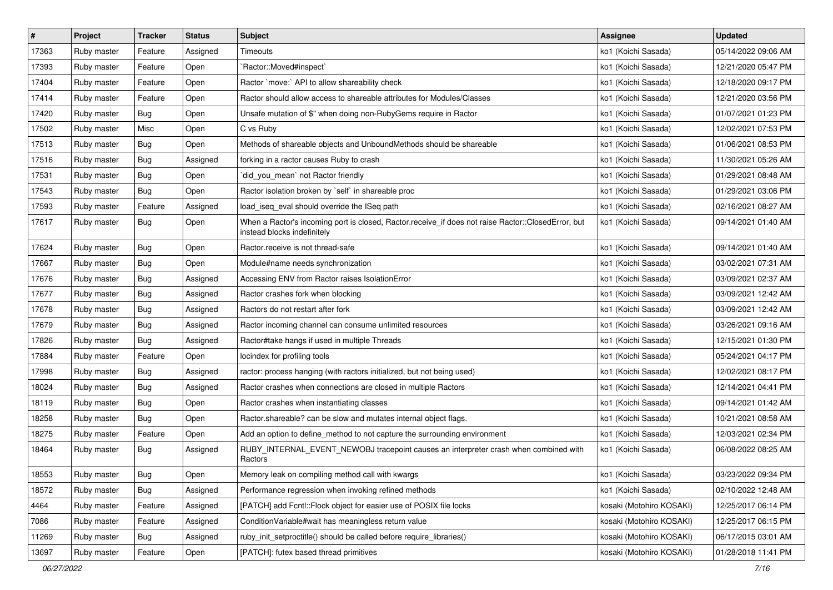| $\vert$ # | Project     | <b>Tracker</b> | <b>Status</b> | Subject                                                                                                                           | <b>Assignee</b>          | <b>Updated</b>      |
|-----------|-------------|----------------|---------------|-----------------------------------------------------------------------------------------------------------------------------------|--------------------------|---------------------|
| 17363     | Ruby master | Feature        | Assigned      | Timeouts                                                                                                                          | ko1 (Koichi Sasada)      | 05/14/2022 09:06 AM |
| 17393     | Ruby master | Feature        | Open          | Ractor::Moved#inspect`                                                                                                            | ko1 (Koichi Sasada)      | 12/21/2020 05:47 PM |
| 17404     | Ruby master | Feature        | Open          | Ractor `move:` API to allow shareability check                                                                                    | ko1 (Koichi Sasada)      | 12/18/2020 09:17 PM |
| 17414     | Ruby master | Feature        | Open          | Ractor should allow access to shareable attributes for Modules/Classes                                                            | ko1 (Koichi Sasada)      | 12/21/2020 03:56 PM |
| 17420     | Ruby master | <b>Bug</b>     | Open          | Unsafe mutation of \$" when doing non-RubyGems require in Ractor                                                                  | ko1 (Koichi Sasada)      | 01/07/2021 01:23 PM |
| 17502     | Ruby master | Misc           | Open          | C vs Ruby                                                                                                                         | ko1 (Koichi Sasada)      | 12/02/2021 07:53 PM |
| 17513     | Ruby master | <b>Bug</b>     | Open          | Methods of shareable objects and UnboundMethods should be shareable                                                               | ko1 (Koichi Sasada)      | 01/06/2021 08:53 PM |
| 17516     | Ruby master | <b>Bug</b>     | Assigned      | forking in a ractor causes Ruby to crash                                                                                          | ko1 (Koichi Sasada)      | 11/30/2021 05:26 AM |
| 17531     | Ruby master | <b>Bug</b>     | Open          | did_you_mean' not Ractor friendly                                                                                                 | ko1 (Koichi Sasada)      | 01/29/2021 08:48 AM |
| 17543     | Ruby master | <b>Bug</b>     | Open          | Ractor isolation broken by `self` in shareable proc                                                                               | ko1 (Koichi Sasada)      | 01/29/2021 03:06 PM |
| 17593     | Ruby master | Feature        | Assigned      | load_iseq_eval should override the ISeq path                                                                                      | ko1 (Koichi Sasada)      | 02/16/2021 08:27 AM |
| 17617     | Ruby master | <b>Bug</b>     | Open          | When a Ractor's incoming port is closed, Ractor.receive_if does not raise Ractor::ClosedError, but<br>instead blocks indefinitely | ko1 (Koichi Sasada)      | 09/14/2021 01:40 AM |
| 17624     | Ruby master | <b>Bug</b>     | Open          | Ractor.receive is not thread-safe                                                                                                 | ko1 (Koichi Sasada)      | 09/14/2021 01:40 AM |
| 17667     | Ruby master | Bug            | Open          | Module#name needs synchronization                                                                                                 | ko1 (Koichi Sasada)      | 03/02/2021 07:31 AM |
| 17676     | Ruby master | <b>Bug</b>     | Assigned      | Accessing ENV from Ractor raises IsolationError                                                                                   | ko1 (Koichi Sasada)      | 03/09/2021 02:37 AM |
| 17677     | Ruby master | <b>Bug</b>     | Assigned      | Ractor crashes fork when blocking                                                                                                 | ko1 (Koichi Sasada)      | 03/09/2021 12:42 AM |
| 17678     | Ruby master | <b>Bug</b>     | Assigned      | Ractors do not restart after fork                                                                                                 | ko1 (Koichi Sasada)      | 03/09/2021 12:42 AM |
| 17679     | Ruby master | <b>Bug</b>     | Assigned      | Ractor incoming channel can consume unlimited resources                                                                           | ko1 (Koichi Sasada)      | 03/26/2021 09:16 AM |
| 17826     | Ruby master | <b>Bug</b>     | Assigned      | Ractor#take hangs if used in multiple Threads                                                                                     | ko1 (Koichi Sasada)      | 12/15/2021 01:30 PM |
| 17884     | Ruby master | Feature        | Open          | locindex for profiling tools                                                                                                      | ko1 (Koichi Sasada)      | 05/24/2021 04:17 PM |
| 17998     | Ruby master | Bug            | Assigned      | ractor: process hanging (with ractors initialized, but not being used)                                                            | ko1 (Koichi Sasada)      | 12/02/2021 08:17 PM |
| 18024     | Ruby master | Bug            | Assigned      | Ractor crashes when connections are closed in multiple Ractors                                                                    | ko1 (Koichi Sasada)      | 12/14/2021 04:41 PM |
| 18119     | Ruby master | Bug            | Open          | Ractor crashes when instantiating classes                                                                                         | ko1 (Koichi Sasada)      | 09/14/2021 01:42 AM |
| 18258     | Ruby master | <b>Bug</b>     | Open          | Ractor.shareable? can be slow and mutates internal object flags.                                                                  | ko1 (Koichi Sasada)      | 10/21/2021 08:58 AM |
| 18275     | Ruby master | Feature        | Open          | Add an option to define_method to not capture the surrounding environment                                                         | ko1 (Koichi Sasada)      | 12/03/2021 02:34 PM |
| 18464     | Ruby master | <b>Bug</b>     | Assigned      | RUBY_INTERNAL_EVENT_NEWOBJ tracepoint causes an interpreter crash when combined with<br>Ractors                                   | ko1 (Koichi Sasada)      | 06/08/2022 08:25 AM |
| 18553     | Ruby master | Bug            | Open          | Memory leak on compiling method call with kwargs                                                                                  | ko1 (Koichi Sasada)      | 03/23/2022 09:34 PM |
| 18572     | Ruby master | <b>Bug</b>     | Assigned      | Performance regression when invoking refined methods                                                                              | ko1 (Koichi Sasada)      | 02/10/2022 12:48 AM |
| 4464      | Ruby master | Feature        | Assigned      | [PATCH] add Fcntl::Flock object for easier use of POSIX file locks                                                                | kosaki (Motohiro KOSAKI) | 12/25/2017 06:14 PM |
| 7086      | Ruby master | Feature        | Assigned      | Condition Variable#wait has meaningless return value                                                                              | kosaki (Motohiro KOSAKI) | 12/25/2017 06:15 PM |
| 11269     | Ruby master | Bug            | Assigned      | ruby_init_setproctitle() should be called before require_libraries()                                                              | kosaki (Motohiro KOSAKI) | 06/17/2015 03:01 AM |
| 13697     | Ruby master | Feature        | Open          | [PATCH]: futex based thread primitives                                                                                            | kosaki (Motohiro KOSAKI) | 01/28/2018 11:41 PM |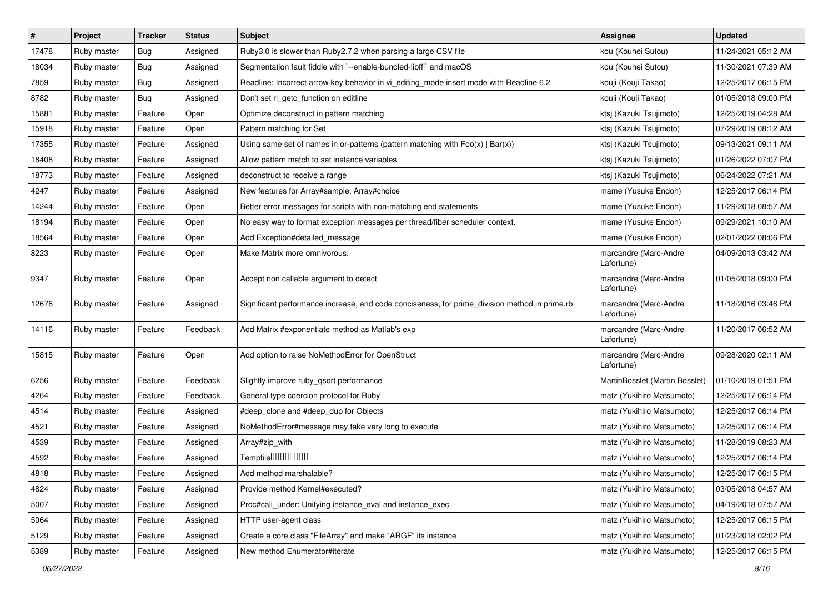| $\sharp$ | Project     | <b>Tracker</b> | <b>Status</b> | <b>Subject</b>                                                                                | <b>Assignee</b>                     | <b>Updated</b>      |
|----------|-------------|----------------|---------------|-----------------------------------------------------------------------------------------------|-------------------------------------|---------------------|
| 17478    | Ruby master | <b>Bug</b>     | Assigned      | Ruby3.0 is slower than Ruby2.7.2 when parsing a large CSV file                                | kou (Kouhei Sutou)                  | 11/24/2021 05:12 AM |
| 18034    | Ruby master | Bug            | Assigned      | Segmentation fault fiddle with `--enable-bundled-libffi` and macOS                            | kou (Kouhei Sutou)                  | 11/30/2021 07:39 AM |
| 7859     | Ruby master | Bug            | Assigned      | Readline: Incorrect arrow key behavior in vi_editing_mode insert mode with Readline 6.2       | kouji (Kouji Takao)                 | 12/25/2017 06:15 PM |
| 8782     | Ruby master | <b>Bug</b>     | Assigned      | Don't set rl_getc_function on editline                                                        | kouji (Kouji Takao)                 | 01/05/2018 09:00 PM |
| 15881    | Ruby master | Feature        | Open          | Optimize deconstruct in pattern matching                                                      | ktsj (Kazuki Tsujimoto)             | 12/25/2019 04:28 AM |
| 15918    | Ruby master | Feature        | Open          | Pattern matching for Set                                                                      | ktsj (Kazuki Tsujimoto)             | 07/29/2019 08:12 AM |
| 17355    | Ruby master | Feature        | Assigned      | Using same set of names in or-patterns (pattern matching with $Foo(x)   Bar(x)$ )             | ktsj (Kazuki Tsujimoto)             | 09/13/2021 09:11 AM |
| 18408    | Ruby master | Feature        | Assigned      | Allow pattern match to set instance variables                                                 | ktsj (Kazuki Tsujimoto)             | 01/26/2022 07:07 PM |
| 18773    | Ruby master | Feature        | Assigned      | deconstruct to receive a range                                                                | ktsj (Kazuki Tsujimoto)             | 06/24/2022 07:21 AM |
| 4247     | Ruby master | Feature        | Assigned      | New features for Array#sample, Array#choice                                                   | mame (Yusuke Endoh)                 | 12/25/2017 06:14 PM |
| 14244    | Ruby master | Feature        | Open          | Better error messages for scripts with non-matching end statements                            | mame (Yusuke Endoh)                 | 11/29/2018 08:57 AM |
| 18194    | Ruby master | Feature        | Open          | No easy way to format exception messages per thread/fiber scheduler context.                  | mame (Yusuke Endoh)                 | 09/29/2021 10:10 AM |
| 18564    | Ruby master | Feature        | Open          | Add Exception#detailed_message                                                                | mame (Yusuke Endoh)                 | 02/01/2022 08:06 PM |
| 8223     | Ruby master | Feature        | Open          | Make Matrix more omnivorous.                                                                  | marcandre (Marc-Andre<br>Lafortune) | 04/09/2013 03:42 AM |
| 9347     | Ruby master | Feature        | Open          | Accept non callable argument to detect                                                        | marcandre (Marc-Andre<br>Lafortune) | 01/05/2018 09:00 PM |
| 12676    | Ruby master | Feature        | Assigned      | Significant performance increase, and code conciseness, for prime_division method in prime.rb | marcandre (Marc-Andre<br>Lafortune) | 11/18/2016 03:46 PM |
| 14116    | Ruby master | Feature        | Feedback      | Add Matrix #exponentiate method as Matlab's exp                                               | marcandre (Marc-Andre<br>Lafortune) | 11/20/2017 06:52 AM |
| 15815    | Ruby master | Feature        | Open          | Add option to raise NoMethodError for OpenStruct                                              | marcandre (Marc-Andre<br>Lafortune) | 09/28/2020 02:11 AM |
| 6256     | Ruby master | Feature        | Feedback      | Slightly improve ruby_qsort performance                                                       | MartinBosslet (Martin Bosslet)      | 01/10/2019 01:51 PM |
| 4264     | Ruby master | Feature        | Feedback      | General type coercion protocol for Ruby                                                       | matz (Yukihiro Matsumoto)           | 12/25/2017 06:14 PM |
| 4514     | Ruby master | Feature        | Assigned      | #deep_clone and #deep_dup for Objects                                                         | matz (Yukihiro Matsumoto)           | 12/25/2017 06:14 PM |
| 4521     | Ruby master | Feature        | Assigned      | NoMethodError#message may take very long to execute                                           | matz (Yukihiro Matsumoto)           | 12/25/2017 06:14 PM |
| 4539     | Ruby master | Feature        | Assigned      | Array#zip_with                                                                                | matz (Yukihiro Matsumoto)           | 11/28/2019 08:23 AM |
| 4592     | Ruby master | Feature        | Assigned      | Tempfile <sup>[10101010]</sup>                                                                | matz (Yukihiro Matsumoto)           | 12/25/2017 06:14 PM |
| 4818     | Ruby master | Feature        | Assigned      | Add method marshalable?                                                                       | matz (Yukihiro Matsumoto)           | 12/25/2017 06:15 PM |
| 4824     | Ruby master | Feature        | Assigned      | Provide method Kernel#executed?                                                               | matz (Yukihiro Matsumoto)           | 03/05/2018 04:57 AM |
| 5007     | Ruby master | Feature        | Assigned      | Proc#call_under: Unifying instance_eval and instance_exec                                     | matz (Yukihiro Matsumoto)           | 04/19/2018 07:57 AM |
| 5064     | Ruby master | Feature        | Assigned      | HTTP user-agent class                                                                         | matz (Yukihiro Matsumoto)           | 12/25/2017 06:15 PM |
| 5129     | Ruby master | Feature        | Assigned      | Create a core class "FileArray" and make "ARGF" its instance                                  | matz (Yukihiro Matsumoto)           | 01/23/2018 02:02 PM |
| 5389     | Ruby master | Feature        | Assigned      | New method Enumerator#iterate                                                                 | matz (Yukihiro Matsumoto)           | 12/25/2017 06:15 PM |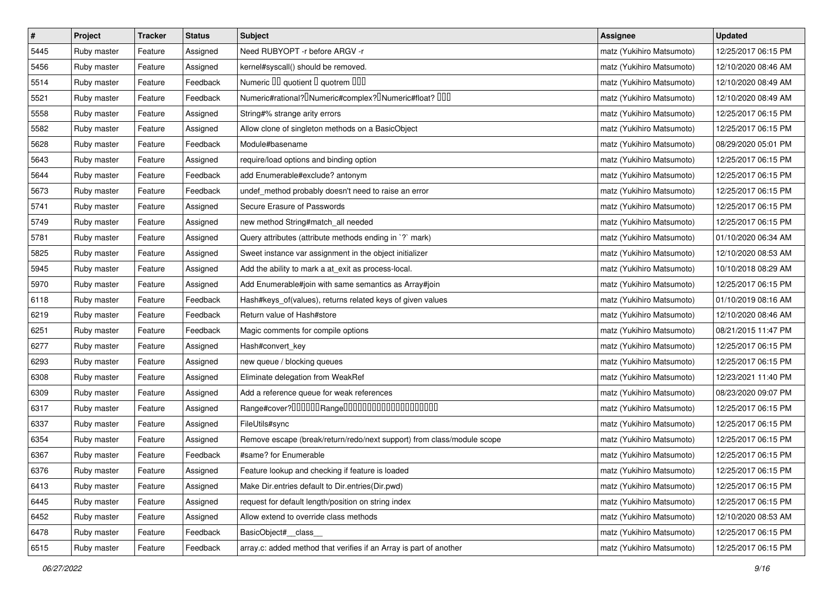| $\vert$ # | Project     | <b>Tracker</b> | <b>Status</b> | <b>Subject</b>                                                                                | <b>Assignee</b>           | <b>Updated</b>      |
|-----------|-------------|----------------|---------------|-----------------------------------------------------------------------------------------------|---------------------------|---------------------|
| 5445      | Ruby master | Feature        | Assigned      | Need RUBYOPT - r before ARGV - r                                                              | matz (Yukihiro Matsumoto) | 12/25/2017 06:15 PM |
| 5456      | Ruby master | Feature        | Assigned      | kernel#syscall() should be removed.                                                           | matz (Yukihiro Matsumoto) | 12/10/2020 08:46 AM |
| 5514      | Ruby master | Feature        | Feedback      | Numeric III quotient I quotrem IIII                                                           | matz (Yukihiro Matsumoto) | 12/10/2020 08:49 AM |
| 5521      | Ruby master | Feature        | Feedback      | Numeric#rational? <sup>[]</sup> Numeric#complex? <sup>[]</sup> Numeric#float? <sup>[10]</sup> | matz (Yukihiro Matsumoto) | 12/10/2020 08:49 AM |
| 5558      | Ruby master | Feature        | Assigned      | String#% strange arity errors                                                                 | matz (Yukihiro Matsumoto) | 12/25/2017 06:15 PM |
| 5582      | Ruby master | Feature        | Assigned      | Allow clone of singleton methods on a BasicObject                                             | matz (Yukihiro Matsumoto) | 12/25/2017 06:15 PM |
| 5628      | Ruby master | Feature        | Feedback      | Module#basename                                                                               | matz (Yukihiro Matsumoto) | 08/29/2020 05:01 PM |
| 5643      | Ruby master | Feature        | Assigned      | require/load options and binding option                                                       | matz (Yukihiro Matsumoto) | 12/25/2017 06:15 PM |
| 5644      | Ruby master | Feature        | Feedback      | add Enumerable#exclude? antonym                                                               | matz (Yukihiro Matsumoto) | 12/25/2017 06:15 PM |
| 5673      | Ruby master | Feature        | Feedback      | undef_method probably doesn't need to raise an error                                          | matz (Yukihiro Matsumoto) | 12/25/2017 06:15 PM |
| 5741      | Ruby master | Feature        | Assigned      | Secure Erasure of Passwords                                                                   | matz (Yukihiro Matsumoto) | 12/25/2017 06:15 PM |
| 5749      | Ruby master | Feature        | Assigned      | new method String#match_all needed                                                            | matz (Yukihiro Matsumoto) | 12/25/2017 06:15 PM |
| 5781      | Ruby master | Feature        | Assigned      | Query attributes (attribute methods ending in `?` mark)                                       | matz (Yukihiro Matsumoto) | 01/10/2020 06:34 AM |
| 5825      | Ruby master | Feature        | Assigned      | Sweet instance var assignment in the object initializer                                       | matz (Yukihiro Matsumoto) | 12/10/2020 08:53 AM |
| 5945      | Ruby master | Feature        | Assigned      | Add the ability to mark a at_exit as process-local.                                           | matz (Yukihiro Matsumoto) | 10/10/2018 08:29 AM |
| 5970      | Ruby master | Feature        | Assigned      | Add Enumerable#join with same semantics as Array#join                                         | matz (Yukihiro Matsumoto) | 12/25/2017 06:15 PM |
| 6118      | Ruby master | Feature        | Feedback      | Hash#keys_of(values), returns related keys of given values                                    | matz (Yukihiro Matsumoto) | 01/10/2019 08:16 AM |
| 6219      | Ruby master | Feature        | Feedback      | Return value of Hash#store                                                                    | matz (Yukihiro Matsumoto) | 12/10/2020 08:46 AM |
| 6251      | Ruby master | Feature        | Feedback      | Magic comments for compile options                                                            | matz (Yukihiro Matsumoto) | 08/21/2015 11:47 PM |
| 6277      | Ruby master | Feature        | Assigned      | Hash#convert_key                                                                              | matz (Yukihiro Matsumoto) | 12/25/2017 06:15 PM |
| 6293      | Ruby master | Feature        | Assigned      | new queue / blocking queues                                                                   | matz (Yukihiro Matsumoto) | 12/25/2017 06:15 PM |
| 6308      | Ruby master | Feature        | Assigned      | Eliminate delegation from WeakRef                                                             | matz (Yukihiro Matsumoto) | 12/23/2021 11:40 PM |
| 6309      | Ruby master | Feature        | Assigned      | Add a reference queue for weak references                                                     | matz (Yukihiro Matsumoto) | 08/23/2020 09:07 PM |
| 6317      | Ruby master | Feature        | Assigned      | Range#cover?000000Range00000000000000000000                                                   | matz (Yukihiro Matsumoto) | 12/25/2017 06:15 PM |
| 6337      | Ruby master | Feature        | Assigned      | FileUtils#sync                                                                                | matz (Yukihiro Matsumoto) | 12/25/2017 06:15 PM |
| 6354      | Ruby master | Feature        | Assigned      | Remove escape (break/return/redo/next support) from class/module scope                        | matz (Yukihiro Matsumoto) | 12/25/2017 06:15 PM |
| 6367      | Ruby master | Feature        | Feedback      | #same? for Enumerable                                                                         | matz (Yukihiro Matsumoto) | 12/25/2017 06:15 PM |
| 6376      | Ruby master | Feature        | Assigned      | Feature lookup and checking if feature is loaded                                              | matz (Yukihiro Matsumoto) | 12/25/2017 06:15 PM |
| 6413      | Ruby master | Feature        | Assigned      | Make Dir.entries default to Dir.entries(Dir.pwd)                                              | matz (Yukihiro Matsumoto) | 12/25/2017 06:15 PM |
| 6445      | Ruby master | Feature        | Assigned      | request for default length/position on string index                                           | matz (Yukihiro Matsumoto) | 12/25/2017 06:15 PM |
| 6452      | Ruby master | Feature        | Assigned      | Allow extend to override class methods                                                        | matz (Yukihiro Matsumoto) | 12/10/2020 08:53 AM |
| 6478      | Ruby master | Feature        | Feedback      | BasicObject# class                                                                            | matz (Yukihiro Matsumoto) | 12/25/2017 06:15 PM |
| 6515      | Ruby master | Feature        | Feedback      | array.c: added method that verifies if an Array is part of another                            | matz (Yukihiro Matsumoto) | 12/25/2017 06:15 PM |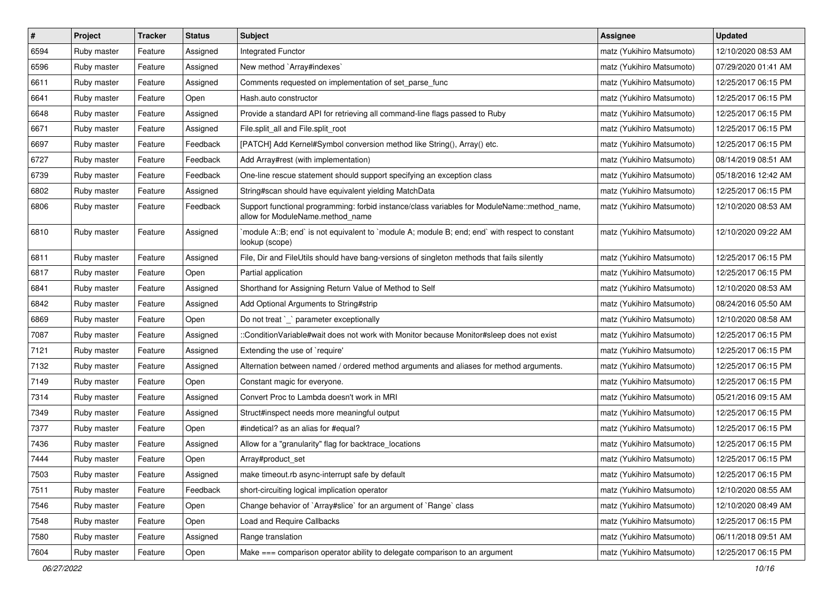| $\pmb{\#}$ | Project     | <b>Tracker</b> | <b>Status</b> | Subject                                                                                                                          | <b>Assignee</b>           | <b>Updated</b>      |
|------------|-------------|----------------|---------------|----------------------------------------------------------------------------------------------------------------------------------|---------------------------|---------------------|
| 6594       | Ruby master | Feature        | Assigned      | Integrated Functor                                                                                                               | matz (Yukihiro Matsumoto) | 12/10/2020 08:53 AM |
| 6596       | Ruby master | Feature        | Assigned      | New method `Array#indexes`                                                                                                       | matz (Yukihiro Matsumoto) | 07/29/2020 01:41 AM |
| 6611       | Ruby master | Feature        | Assigned      | Comments requested on implementation of set_parse_func                                                                           | matz (Yukihiro Matsumoto) | 12/25/2017 06:15 PM |
| 6641       | Ruby master | Feature        | Open          | Hash.auto constructor                                                                                                            | matz (Yukihiro Matsumoto) | 12/25/2017 06:15 PM |
| 6648       | Ruby master | Feature        | Assigned      | Provide a standard API for retrieving all command-line flags passed to Ruby                                                      | matz (Yukihiro Matsumoto) | 12/25/2017 06:15 PM |
| 6671       | Ruby master | Feature        | Assigned      | File.split all and File.split root                                                                                               | matz (Yukihiro Matsumoto) | 12/25/2017 06:15 PM |
| 6697       | Ruby master | Feature        | Feedback      | [PATCH] Add Kernel#Symbol conversion method like String(), Array() etc.                                                          | matz (Yukihiro Matsumoto) | 12/25/2017 06:15 PM |
| 6727       | Ruby master | Feature        | Feedback      | Add Array#rest (with implementation)                                                                                             | matz (Yukihiro Matsumoto) | 08/14/2019 08:51 AM |
| 6739       | Ruby master | Feature        | Feedback      | One-line rescue statement should support specifying an exception class                                                           | matz (Yukihiro Matsumoto) | 05/18/2016 12:42 AM |
| 6802       | Ruby master | Feature        | Assigned      | String#scan should have equivalent yielding MatchData                                                                            | matz (Yukihiro Matsumoto) | 12/25/2017 06:15 PM |
| 6806       | Ruby master | Feature        | Feedback      | Support functional programming: forbid instance/class variables for ModuleName::method_name,<br>allow for ModuleName.method_name | matz (Yukihiro Matsumoto) | 12/10/2020 08:53 AM |
| 6810       | Ruby master | Feature        | Assigned      | module A::B; end` is not equivalent to `module A; module B; end; end` with respect to constant<br>lookup (scope)                 | matz (Yukihiro Matsumoto) | 12/10/2020 09:22 AM |
| 6811       | Ruby master | Feature        | Assigned      | File, Dir and FileUtils should have bang-versions of singleton methods that fails silently                                       | matz (Yukihiro Matsumoto) | 12/25/2017 06:15 PM |
| 6817       | Ruby master | Feature        | Open          | Partial application                                                                                                              | matz (Yukihiro Matsumoto) | 12/25/2017 06:15 PM |
| 6841       | Ruby master | Feature        | Assigned      | Shorthand for Assigning Return Value of Method to Self                                                                           | matz (Yukihiro Matsumoto) | 12/10/2020 08:53 AM |
| 6842       | Ruby master | Feature        | Assigned      | Add Optional Arguments to String#strip                                                                                           | matz (Yukihiro Matsumoto) | 08/24/2016 05:50 AM |
| 6869       | Ruby master | Feature        | Open          | Do not treat `_` parameter exceptionally                                                                                         | matz (Yukihiro Matsumoto) | 12/10/2020 08:58 AM |
| 7087       | Ruby master | Feature        | Assigned      | ::ConditionVariable#wait does not work with Monitor because Monitor#sleep does not exist                                         | matz (Yukihiro Matsumoto) | 12/25/2017 06:15 PM |
| 7121       | Ruby master | Feature        | Assigned      | Extending the use of `require'                                                                                                   | matz (Yukihiro Matsumoto) | 12/25/2017 06:15 PM |
| 7132       | Ruby master | Feature        | Assigned      | Alternation between named / ordered method arguments and aliases for method arguments.                                           | matz (Yukihiro Matsumoto) | 12/25/2017 06:15 PM |
| 7149       | Ruby master | Feature        | Open          | Constant magic for everyone.                                                                                                     | matz (Yukihiro Matsumoto) | 12/25/2017 06:15 PM |
| 7314       | Ruby master | Feature        | Assigned      | Convert Proc to Lambda doesn't work in MRI                                                                                       | matz (Yukihiro Matsumoto) | 05/21/2016 09:15 AM |
| 7349       | Ruby master | Feature        | Assigned      | Struct#inspect needs more meaningful output                                                                                      | matz (Yukihiro Matsumoto) | 12/25/2017 06:15 PM |
| 7377       | Ruby master | Feature        | Open          | #indetical? as an alias for #equal?                                                                                              | matz (Yukihiro Matsumoto) | 12/25/2017 06:15 PM |
| 7436       | Ruby master | Feature        | Assigned      | Allow for a "granularity" flag for backtrace_locations                                                                           | matz (Yukihiro Matsumoto) | 12/25/2017 06:15 PM |
| 7444       | Ruby master | Feature        | Open          | Array#product_set                                                                                                                | matz (Yukihiro Matsumoto) | 12/25/2017 06:15 PM |
| 7503       | Ruby master | Feature        | Assigned      | make timeout.rb async-interrupt safe by default                                                                                  | matz (Yukihiro Matsumoto) | 12/25/2017 06:15 PM |
| 7511       | Ruby master | Feature        | Feedback      | short-circuiting logical implication operator                                                                                    | matz (Yukihiro Matsumoto) | 12/10/2020 08:55 AM |
| 7546       | Ruby master | Feature        | Open          | Change behavior of `Array#slice` for an argument of `Range` class                                                                | matz (Yukihiro Matsumoto) | 12/10/2020 08:49 AM |
| 7548       | Ruby master | Feature        | Open          | Load and Require Callbacks                                                                                                       | matz (Yukihiro Matsumoto) | 12/25/2017 06:15 PM |
| 7580       | Ruby master | Feature        | Assigned      | Range translation                                                                                                                | matz (Yukihiro Matsumoto) | 06/11/2018 09:51 AM |
| 7604       | Ruby master | Feature        | Open          | Make === comparison operator ability to delegate comparison to an argument                                                       | matz (Yukihiro Matsumoto) | 12/25/2017 06:15 PM |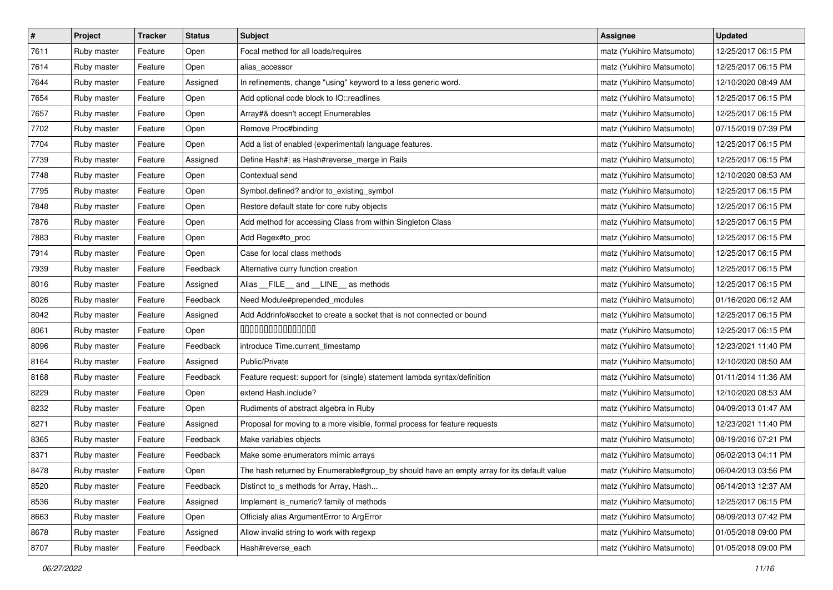| $\pmb{\#}$ | Project     | <b>Tracker</b> | <b>Status</b> | <b>Subject</b>                                                                            | <b>Assignee</b>           | <b>Updated</b>      |
|------------|-------------|----------------|---------------|-------------------------------------------------------------------------------------------|---------------------------|---------------------|
| 7611       | Ruby master | Feature        | Open          | Focal method for all loads/requires                                                       | matz (Yukihiro Matsumoto) | 12/25/2017 06:15 PM |
| 7614       | Ruby master | Feature        | Open          | alias_accessor                                                                            | matz (Yukihiro Matsumoto) | 12/25/2017 06:15 PM |
| 7644       | Ruby master | Feature        | Assigned      | In refinements, change "using" keyword to a less generic word.                            | matz (Yukihiro Matsumoto) | 12/10/2020 08:49 AM |
| 7654       | Ruby master | Feature        | Open          | Add optional code block to IO::readlines                                                  | matz (Yukihiro Matsumoto) | 12/25/2017 06:15 PM |
| 7657       | Ruby master | Feature        | Open          | Array#& doesn't accept Enumerables                                                        | matz (Yukihiro Matsumoto) | 12/25/2017 06:15 PM |
| 7702       | Ruby master | Feature        | Open          | Remove Proc#binding                                                                       | matz (Yukihiro Matsumoto) | 07/15/2019 07:39 PM |
| 7704       | Ruby master | Feature        | Open          | Add a list of enabled (experimental) language features.                                   | matz (Yukihiro Matsumoto) | 12/25/2017 06:15 PM |
| 7739       | Ruby master | Feature        | Assigned      | Define Hash#  as Hash#reverse_merge in Rails                                              | matz (Yukihiro Matsumoto) | 12/25/2017 06:15 PM |
| 7748       | Ruby master | Feature        | Open          | Contextual send                                                                           | matz (Yukihiro Matsumoto) | 12/10/2020 08:53 AM |
| 7795       | Ruby master | Feature        | Open          | Symbol.defined? and/or to_existing_symbol                                                 | matz (Yukihiro Matsumoto) | 12/25/2017 06:15 PM |
| 7848       | Ruby master | Feature        | Open          | Restore default state for core ruby objects                                               | matz (Yukihiro Matsumoto) | 12/25/2017 06:15 PM |
| 7876       | Ruby master | Feature        | Open          | Add method for accessing Class from within Singleton Class                                | matz (Yukihiro Matsumoto) | 12/25/2017 06:15 PM |
| 7883       | Ruby master | Feature        | Open          | Add Regex#to_proc                                                                         | matz (Yukihiro Matsumoto) | 12/25/2017 06:15 PM |
| 7914       | Ruby master | Feature        | Open          | Case for local class methods                                                              | matz (Yukihiro Matsumoto) | 12/25/2017 06:15 PM |
| 7939       | Ruby master | Feature        | Feedback      | Alternative curry function creation                                                       | matz (Yukihiro Matsumoto) | 12/25/2017 06:15 PM |
| 8016       | Ruby master | Feature        | Assigned      | Alias FILE and LINE as methods                                                            | matz (Yukihiro Matsumoto) | 12/25/2017 06:15 PM |
| 8026       | Ruby master | Feature        | Feedback      | Need Module#prepended_modules                                                             | matz (Yukihiro Matsumoto) | 01/16/2020 06:12 AM |
| 8042       | Ruby master | Feature        | Assigned      | Add Addrinfo#socket to create a socket that is not connected or bound                     | matz (Yukihiro Matsumoto) | 12/25/2017 06:15 PM |
| 8061       | Ruby master | Feature        | Open          | 000000000000000                                                                           | matz (Yukihiro Matsumoto) | 12/25/2017 06:15 PM |
| 8096       | Ruby master | Feature        | Feedback      | introduce Time.current_timestamp                                                          | matz (Yukihiro Matsumoto) | 12/23/2021 11:40 PM |
| 8164       | Ruby master | Feature        | Assigned      | Public/Private                                                                            | matz (Yukihiro Matsumoto) | 12/10/2020 08:50 AM |
| 8168       | Ruby master | Feature        | Feedback      | Feature request: support for (single) statement lambda syntax/definition                  | matz (Yukihiro Matsumoto) | 01/11/2014 11:36 AM |
| 8229       | Ruby master | Feature        | Open          | extend Hash.include?                                                                      | matz (Yukihiro Matsumoto) | 12/10/2020 08:53 AM |
| 8232       | Ruby master | Feature        | Open          | Rudiments of abstract algebra in Ruby                                                     | matz (Yukihiro Matsumoto) | 04/09/2013 01:47 AM |
| 8271       | Ruby master | Feature        | Assigned      | Proposal for moving to a more visible, formal process for feature requests                | matz (Yukihiro Matsumoto) | 12/23/2021 11:40 PM |
| 8365       | Ruby master | Feature        | Feedback      | Make variables objects                                                                    | matz (Yukihiro Matsumoto) | 08/19/2016 07:21 PM |
| 8371       | Ruby master | Feature        | Feedback      | Make some enumerators mimic arrays                                                        | matz (Yukihiro Matsumoto) | 06/02/2013 04:11 PM |
| 8478       | Ruby master | Feature        | Open          | The hash returned by Enumerable#group_by should have an empty array for its default value | matz (Yukihiro Matsumoto) | 06/04/2013 03:56 PM |
| 8520       | Ruby master | Feature        | Feedback      | Distinct to_s methods for Array, Hash                                                     | matz (Yukihiro Matsumoto) | 06/14/2013 12:37 AM |
| 8536       | Ruby master | Feature        | Assigned      | Implement is_numeric? family of methods                                                   | matz (Yukihiro Matsumoto) | 12/25/2017 06:15 PM |
| 8663       | Ruby master | Feature        | Open          | Officialy alias ArgumentError to ArgError                                                 | matz (Yukihiro Matsumoto) | 08/09/2013 07:42 PM |
| 8678       | Ruby master | Feature        | Assigned      | Allow invalid string to work with regexp                                                  | matz (Yukihiro Matsumoto) | 01/05/2018 09:00 PM |
| 8707       | Ruby master | Feature        | Feedback      | Hash#reverse_each                                                                         | matz (Yukihiro Matsumoto) | 01/05/2018 09:00 PM |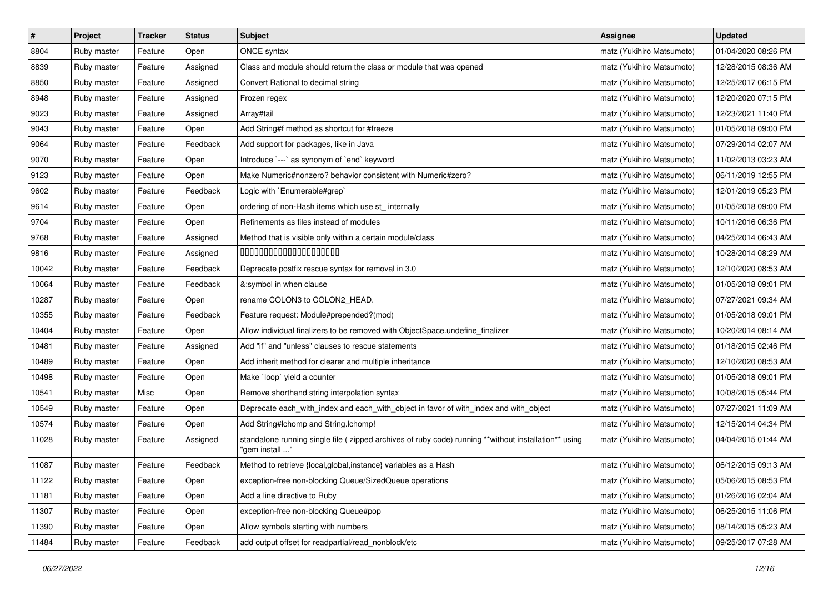| $\pmb{\#}$ | Project     | <b>Tracker</b> | <b>Status</b> | Subject                                                                                                                 | <b>Assignee</b>           | <b>Updated</b>      |
|------------|-------------|----------------|---------------|-------------------------------------------------------------------------------------------------------------------------|---------------------------|---------------------|
| 8804       | Ruby master | Feature        | Open          | ONCE syntax                                                                                                             | matz (Yukihiro Matsumoto) | 01/04/2020 08:26 PM |
| 8839       | Ruby master | Feature        | Assigned      | Class and module should return the class or module that was opened                                                      | matz (Yukihiro Matsumoto) | 12/28/2015 08:36 AM |
| 8850       | Ruby master | Feature        | Assigned      | Convert Rational to decimal string                                                                                      | matz (Yukihiro Matsumoto) | 12/25/2017 06:15 PM |
| 8948       | Ruby master | Feature        | Assigned      | Frozen regex                                                                                                            | matz (Yukihiro Matsumoto) | 12/20/2020 07:15 PM |
| 9023       | Ruby master | Feature        | Assigned      | Array#tail                                                                                                              | matz (Yukihiro Matsumoto) | 12/23/2021 11:40 PM |
| 9043       | Ruby master | Feature        | Open          | Add String#f method as shortcut for #freeze                                                                             | matz (Yukihiro Matsumoto) | 01/05/2018 09:00 PM |
| 9064       | Ruby master | Feature        | Feedback      | Add support for packages, like in Java                                                                                  | matz (Yukihiro Matsumoto) | 07/29/2014 02:07 AM |
| 9070       | Ruby master | Feature        | Open          | Introduce `---` as synonym of `end` keyword                                                                             | matz (Yukihiro Matsumoto) | 11/02/2013 03:23 AM |
| 9123       | Ruby master | Feature        | Open          | Make Numeric#nonzero? behavior consistent with Numeric#zero?                                                            | matz (Yukihiro Matsumoto) | 06/11/2019 12:55 PM |
| 9602       | Ruby master | Feature        | Feedback      | Logic with `Enumerable#grep`                                                                                            | matz (Yukihiro Matsumoto) | 12/01/2019 05:23 PM |
| 9614       | Ruby master | Feature        | Open          | ordering of non-Hash items which use st_ internally                                                                     | matz (Yukihiro Matsumoto) | 01/05/2018 09:00 PM |
| 9704       | Ruby master | Feature        | Open          | Refinements as files instead of modules                                                                                 | matz (Yukihiro Matsumoto) | 10/11/2016 06:36 PM |
| 9768       | Ruby master | Feature        | Assigned      | Method that is visible only within a certain module/class                                                               | matz (Yukihiro Matsumoto) | 04/25/2014 06:43 AM |
| 9816       | Ruby master | Feature        | Assigned      | 00000000000000000000                                                                                                    | matz (Yukihiro Matsumoto) | 10/28/2014 08:29 AM |
| 10042      | Ruby master | Feature        | Feedback      | Deprecate postfix rescue syntax for removal in 3.0                                                                      | matz (Yukihiro Matsumoto) | 12/10/2020 08:53 AM |
| 10064      | Ruby master | Feature        | Feedback      | &:symbol in when clause                                                                                                 | matz (Yukihiro Matsumoto) | 01/05/2018 09:01 PM |
| 10287      | Ruby master | Feature        | Open          | rename COLON3 to COLON2_HEAD.                                                                                           | matz (Yukihiro Matsumoto) | 07/27/2021 09:34 AM |
| 10355      | Ruby master | Feature        | Feedback      | Feature request: Module#prepended?(mod)                                                                                 | matz (Yukihiro Matsumoto) | 01/05/2018 09:01 PM |
| 10404      | Ruby master | Feature        | Open          | Allow individual finalizers to be removed with ObjectSpace.undefine_finalizer                                           | matz (Yukihiro Matsumoto) | 10/20/2014 08:14 AM |
| 10481      | Ruby master | Feature        | Assigned      | Add "if" and "unless" clauses to rescue statements                                                                      | matz (Yukihiro Matsumoto) | 01/18/2015 02:46 PM |
| 10489      | Ruby master | Feature        | Open          | Add inherit method for clearer and multiple inheritance                                                                 | matz (Yukihiro Matsumoto) | 12/10/2020 08:53 AM |
| 10498      | Ruby master | Feature        | Open          | Make `loop` yield a counter                                                                                             | matz (Yukihiro Matsumoto) | 01/05/2018 09:01 PM |
| 10541      | Ruby master | Misc           | Open          | Remove shorthand string interpolation syntax                                                                            | matz (Yukihiro Matsumoto) | 10/08/2015 05:44 PM |
| 10549      | Ruby master | Feature        | Open          | Deprecate each_with_index and each_with_object in favor of with_index and with_object                                   | matz (Yukihiro Matsumoto) | 07/27/2021 11:09 AM |
| 10574      | Ruby master | Feature        | Open          | Add String#Ichomp and String.Ichomp!                                                                                    | matz (Yukihiro Matsumoto) | 12/15/2014 04:34 PM |
| 11028      | Ruby master | Feature        | Assigned      | standalone running single file ( zipped archives of ruby code) running **without installation** using<br>" gem install" | matz (Yukihiro Matsumoto) | 04/04/2015 01:44 AM |
| 11087      | Ruby master | Feature        | Feedback      | Method to retrieve {local, global, instance} variables as a Hash                                                        | matz (Yukihiro Matsumoto) | 06/12/2015 09:13 AM |
| 11122      | Ruby master | Feature        | Open          | exception-free non-blocking Queue/SizedQueue operations                                                                 | matz (Yukihiro Matsumoto) | 05/06/2015 08:53 PM |
| 11181      | Ruby master | Feature        | Open          | Add a line directive to Ruby                                                                                            | matz (Yukihiro Matsumoto) | 01/26/2016 02:04 AM |
| 11307      | Ruby master | Feature        | Open          | exception-free non-blocking Queue#pop                                                                                   | matz (Yukihiro Matsumoto) | 06/25/2015 11:06 PM |
| 11390      | Ruby master | Feature        | Open          | Allow symbols starting with numbers                                                                                     | matz (Yukihiro Matsumoto) | 08/14/2015 05:23 AM |
| 11484      | Ruby master | Feature        | Feedback      | add output offset for readpartial/read_nonblock/etc                                                                     | matz (Yukihiro Matsumoto) | 09/25/2017 07:28 AM |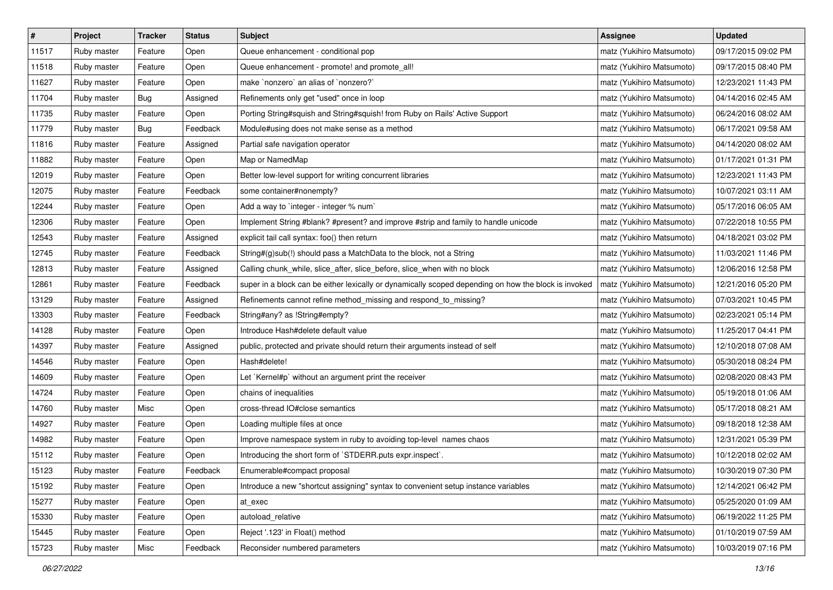| $\vert$ # | Project     | <b>Tracker</b> | <b>Status</b> | <b>Subject</b>                                                                                       | <b>Assignee</b>           | <b>Updated</b>      |
|-----------|-------------|----------------|---------------|------------------------------------------------------------------------------------------------------|---------------------------|---------------------|
| 11517     | Ruby master | Feature        | Open          | Queue enhancement - conditional pop                                                                  | matz (Yukihiro Matsumoto) | 09/17/2015 09:02 PM |
| 11518     | Ruby master | Feature        | Open          | Queue enhancement - promote! and promote_all!                                                        | matz (Yukihiro Matsumoto) | 09/17/2015 08:40 PM |
| 11627     | Ruby master | Feature        | Open          | make `nonzero` an alias of `nonzero?`                                                                | matz (Yukihiro Matsumoto) | 12/23/2021 11:43 PM |
| 11704     | Ruby master | <b>Bug</b>     | Assigned      | Refinements only get "used" once in loop                                                             | matz (Yukihiro Matsumoto) | 04/14/2016 02:45 AM |
| 11735     | Ruby master | Feature        | Open          | Porting String#squish and String#squish! from Ruby on Rails' Active Support                          | matz (Yukihiro Matsumoto) | 06/24/2016 08:02 AM |
| 11779     | Ruby master | <b>Bug</b>     | Feedback      | Module#using does not make sense as a method                                                         | matz (Yukihiro Matsumoto) | 06/17/2021 09:58 AM |
| 11816     | Ruby master | Feature        | Assigned      | Partial safe navigation operator                                                                     | matz (Yukihiro Matsumoto) | 04/14/2020 08:02 AM |
| 11882     | Ruby master | Feature        | Open          | Map or NamedMap                                                                                      | matz (Yukihiro Matsumoto) | 01/17/2021 01:31 PM |
| 12019     | Ruby master | Feature        | Open          | Better low-level support for writing concurrent libraries                                            | matz (Yukihiro Matsumoto) | 12/23/2021 11:43 PM |
| 12075     | Ruby master | Feature        | Feedback      | some container#nonempty?                                                                             | matz (Yukihiro Matsumoto) | 10/07/2021 03:11 AM |
| 12244     | Ruby master | Feature        | Open          | Add a way to `integer - integer % num`                                                               | matz (Yukihiro Matsumoto) | 05/17/2016 06:05 AM |
| 12306     | Ruby master | Feature        | Open          | Implement String #blank? #present? and improve #strip and family to handle unicode                   | matz (Yukihiro Matsumoto) | 07/22/2018 10:55 PM |
| 12543     | Ruby master | Feature        | Assigned      | explicit tail call syntax: foo() then return                                                         | matz (Yukihiro Matsumoto) | 04/18/2021 03:02 PM |
| 12745     | Ruby master | Feature        | Feedback      | String#(g)sub(!) should pass a MatchData to the block, not a String                                  | matz (Yukihiro Matsumoto) | 11/03/2021 11:46 PM |
| 12813     | Ruby master | Feature        | Assigned      | Calling chunk_while, slice_after, slice_before, slice_when with no block                             | matz (Yukihiro Matsumoto) | 12/06/2016 12:58 PM |
| 12861     | Ruby master | Feature        | Feedback      | super in a block can be either lexically or dynamically scoped depending on how the block is invoked | matz (Yukihiro Matsumoto) | 12/21/2016 05:20 PM |
| 13129     | Ruby master | Feature        | Assigned      | Refinements cannot refine method_missing and respond_to_missing?                                     | matz (Yukihiro Matsumoto) | 07/03/2021 10:45 PM |
| 13303     | Ruby master | Feature        | Feedback      | String#any? as !String#empty?                                                                        | matz (Yukihiro Matsumoto) | 02/23/2021 05:14 PM |
| 14128     | Ruby master | Feature        | Open          | Introduce Hash#delete default value                                                                  | matz (Yukihiro Matsumoto) | 11/25/2017 04:41 PM |
| 14397     | Ruby master | Feature        | Assigned      | public, protected and private should return their arguments instead of self                          | matz (Yukihiro Matsumoto) | 12/10/2018 07:08 AM |
| 14546     | Ruby master | Feature        | Open          | Hash#delete!                                                                                         | matz (Yukihiro Matsumoto) | 05/30/2018 08:24 PM |
| 14609     | Ruby master | Feature        | Open          | Let `Kernel#p` without an argument print the receiver                                                | matz (Yukihiro Matsumoto) | 02/08/2020 08:43 PM |
| 14724     | Ruby master | Feature        | Open          | chains of inequalities                                                                               | matz (Yukihiro Matsumoto) | 05/19/2018 01:06 AM |
| 14760     | Ruby master | Misc           | Open          | cross-thread IO#close semantics                                                                      | matz (Yukihiro Matsumoto) | 05/17/2018 08:21 AM |
| 14927     | Ruby master | Feature        | Open          | Loading multiple files at once                                                                       | matz (Yukihiro Matsumoto) | 09/18/2018 12:38 AM |
| 14982     | Ruby master | Feature        | Open          | Improve namespace system in ruby to avoiding top-level names chaos                                   | matz (Yukihiro Matsumoto) | 12/31/2021 05:39 PM |
| 15112     | Ruby master | Feature        | Open          | Introducing the short form of `STDERR.puts expr.inspect`.                                            | matz (Yukihiro Matsumoto) | 10/12/2018 02:02 AM |
| 15123     | Ruby master | Feature        | Feedback      | Enumerable#compact proposal                                                                          | matz (Yukihiro Matsumoto) | 10/30/2019 07:30 PM |
| 15192     | Ruby master | Feature        | Open          | Introduce a new "shortcut assigning" syntax to convenient setup instance variables                   | matz (Yukihiro Matsumoto) | 12/14/2021 06:42 PM |
| 15277     | Ruby master | Feature        | Open          | at exec                                                                                              | matz (Yukihiro Matsumoto) | 05/25/2020 01:09 AM |
| 15330     | Ruby master | Feature        | Open          | autoload_relative                                                                                    | matz (Yukihiro Matsumoto) | 06/19/2022 11:25 PM |
| 15445     | Ruby master | Feature        | Open          | Reject '.123' in Float() method                                                                      | matz (Yukihiro Matsumoto) | 01/10/2019 07:59 AM |
| 15723     | Ruby master | Misc           | Feedback      | Reconsider numbered parameters                                                                       | matz (Yukihiro Matsumoto) | 10/03/2019 07:16 PM |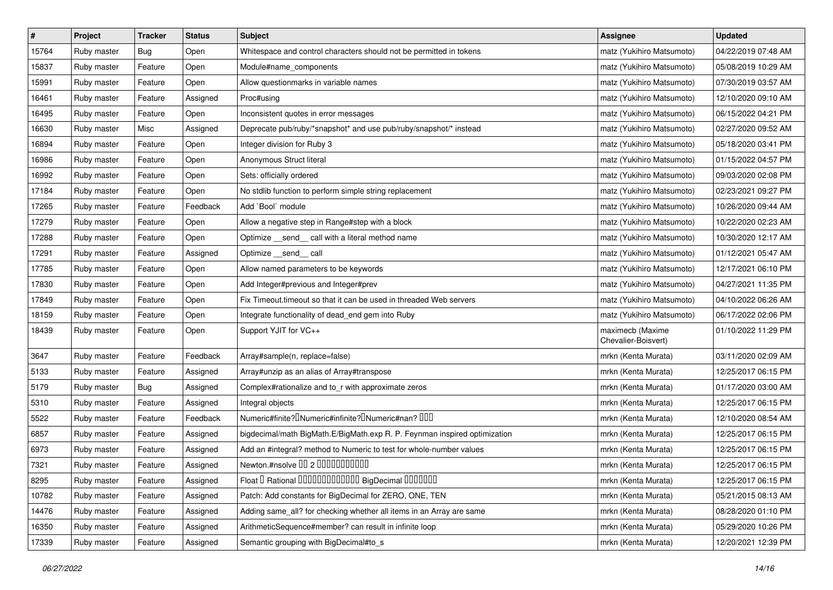| $\sharp$ | Project     | <b>Tracker</b> | <b>Status</b> | <b>Subject</b>                                                            | <b>Assignee</b>                         | <b>Updated</b>      |
|----------|-------------|----------------|---------------|---------------------------------------------------------------------------|-----------------------------------------|---------------------|
| 15764    | Ruby master | <b>Bug</b>     | Open          | Whitespace and control characters should not be permitted in tokens       | matz (Yukihiro Matsumoto)               | 04/22/2019 07:48 AM |
| 15837    | Ruby master | Feature        | Open          | Module#name_components                                                    | matz (Yukihiro Matsumoto)               | 05/08/2019 10:29 AM |
| 15991    | Ruby master | Feature        | Open          | Allow questionmarks in variable names                                     | matz (Yukihiro Matsumoto)               | 07/30/2019 03:57 AM |
| 16461    | Ruby master | Feature        | Assigned      | Proc#using                                                                | matz (Yukihiro Matsumoto)               | 12/10/2020 09:10 AM |
| 16495    | Ruby master | Feature        | Open          | Inconsistent quotes in error messages                                     | matz (Yukihiro Matsumoto)               | 06/15/2022 04:21 PM |
| 16630    | Ruby master | Misc           | Assigned      | Deprecate pub/ruby/*snapshot* and use pub/ruby/snapshot/* instead         | matz (Yukihiro Matsumoto)               | 02/27/2020 09:52 AM |
| 16894    | Ruby master | Feature        | Open          | Integer division for Ruby 3                                               | matz (Yukihiro Matsumoto)               | 05/18/2020 03:41 PM |
| 16986    | Ruby master | Feature        | Open          | Anonymous Struct literal                                                  | matz (Yukihiro Matsumoto)               | 01/15/2022 04:57 PM |
| 16992    | Ruby master | Feature        | Open          | Sets: officially ordered                                                  | matz (Yukihiro Matsumoto)               | 09/03/2020 02:08 PM |
| 17184    | Ruby master | Feature        | Open          | No stdlib function to perform simple string replacement                   | matz (Yukihiro Matsumoto)               | 02/23/2021 09:27 PM |
| 17265    | Ruby master | Feature        | Feedback      | Add `Bool` module                                                         | matz (Yukihiro Matsumoto)               | 10/26/2020 09:44 AM |
| 17279    | Ruby master | Feature        | Open          | Allow a negative step in Range#step with a block                          | matz (Yukihiro Matsumoto)               | 10/22/2020 02:23 AM |
| 17288    | Ruby master | Feature        | Open          | Optimize _send _call with a literal method name                           | matz (Yukihiro Matsumoto)               | 10/30/2020 12:17 AM |
| 17291    | Ruby master | Feature        | Assigned      | Optimize __send__ call                                                    | matz (Yukihiro Matsumoto)               | 01/12/2021 05:47 AM |
| 17785    | Ruby master | Feature        | Open          | Allow named parameters to be keywords                                     | matz (Yukihiro Matsumoto)               | 12/17/2021 06:10 PM |
| 17830    | Ruby master | Feature        | Open          | Add Integer#previous and Integer#prev                                     | matz (Yukihiro Matsumoto)               | 04/27/2021 11:35 PM |
| 17849    | Ruby master | Feature        | Open          | Fix Timeout.timeout so that it can be used in threaded Web servers        | matz (Yukihiro Matsumoto)               | 04/10/2022 06:26 AM |
| 18159    | Ruby master | Feature        | Open          | Integrate functionality of dead_end gem into Ruby                         | matz (Yukihiro Matsumoto)               | 06/17/2022 02:06 PM |
| 18439    | Ruby master | Feature        | Open          | Support YJIT for VC++                                                     | maximecb (Maxime<br>Chevalier-Boisvert) | 01/10/2022 11:29 PM |
| 3647     | Ruby master | Feature        | Feedback      | Array#sample(n, replace=false)                                            | mrkn (Kenta Murata)                     | 03/11/2020 02:09 AM |
| 5133     | Ruby master | Feature        | Assigned      | Array#unzip as an alias of Array#transpose                                | mrkn (Kenta Murata)                     | 12/25/2017 06:15 PM |
| 5179     | Ruby master | Bug            | Assigned      | Complex#rationalize and to_r with approximate zeros                       | mrkn (Kenta Murata)                     | 01/17/2020 03:00 AM |
| 5310     | Ruby master | Feature        | Assigned      | Integral objects                                                          | mrkn (Kenta Murata)                     | 12/25/2017 06:15 PM |
| 5522     | Ruby master | Feature        | Feedback      | Numeric#finite? UNumeric#infinite? UNumeric#nan? UUU                      | mrkn (Kenta Murata)                     | 12/10/2020 08:54 AM |
| 6857     | Ruby master | Feature        | Assigned      | bigdecimal/math BigMath.E/BigMath.exp R. P. Feynman inspired optimization | mrkn (Kenta Murata)                     | 12/25/2017 06:15 PM |
| 6973     | Ruby master | Feature        | Assigned      | Add an #integral? method to Numeric to test for whole-number values       | mrkn (Kenta Murata)                     | 12/25/2017 06:15 PM |
| 7321     | Ruby master | Feature        | Assigned      | Newton.#nsolve 00 2 00000000000                                           | mrkn (Kenta Murata)                     | 12/25/2017 06:15 PM |
| 8295     | Ruby master | Feature        | Assigned      | Float I Rational 0000000000000 BigDecimal 0000000                         | mrkn (Kenta Murata)                     | 12/25/2017 06:15 PM |
| 10782    | Ruby master | Feature        | Assigned      | Patch: Add constants for BigDecimal for ZERO, ONE, TEN                    | mrkn (Kenta Murata)                     | 05/21/2015 08:13 AM |
| 14476    | Ruby master | Feature        | Assigned      | Adding same_all? for checking whether all items in an Array are same      | mrkn (Kenta Murata)                     | 08/28/2020 01:10 PM |
| 16350    | Ruby master | Feature        | Assigned      | ArithmeticSequence#member? can result in infinite loop                    | mrkn (Kenta Murata)                     | 05/29/2020 10:26 PM |
| 17339    | Ruby master | Feature        | Assigned      | Semantic grouping with BigDecimal#to_s                                    | mrkn (Kenta Murata)                     | 12/20/2021 12:39 PM |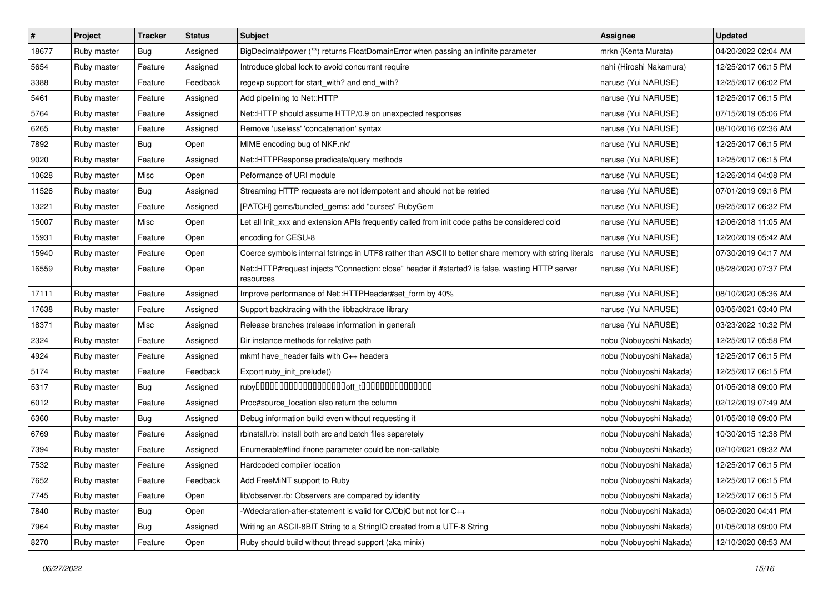| $\sharp$ | Project     | <b>Tracker</b> | <b>Status</b> | Subject                                                                                                      | <b>Assignee</b>         | <b>Updated</b>      |
|----------|-------------|----------------|---------------|--------------------------------------------------------------------------------------------------------------|-------------------------|---------------------|
| 18677    | Ruby master | Bug            | Assigned      | BigDecimal#power (**) returns FloatDomainError when passing an infinite parameter                            | mrkn (Kenta Murata)     | 04/20/2022 02:04 AM |
| 5654     | Ruby master | Feature        | Assigned      | Introduce global lock to avoid concurrent require                                                            | nahi (Hiroshi Nakamura) | 12/25/2017 06:15 PM |
| 3388     | Ruby master | Feature        | Feedback      | regexp support for start_with? and end_with?                                                                 | naruse (Yui NARUSE)     | 12/25/2017 06:02 PM |
| 5461     | Ruby master | Feature        | Assigned      | Add pipelining to Net::HTTP                                                                                  | naruse (Yui NARUSE)     | 12/25/2017 06:15 PM |
| 5764     | Ruby master | Feature        | Assigned      | Net::HTTP should assume HTTP/0.9 on unexpected responses                                                     | naruse (Yui NARUSE)     | 07/15/2019 05:06 PM |
| 6265     | Ruby master | Feature        | Assigned      | Remove 'useless' 'concatenation' syntax                                                                      | naruse (Yui NARUSE)     | 08/10/2016 02:36 AM |
| 7892     | Ruby master | Bug            | Open          | MIME encoding bug of NKF.nkf                                                                                 | naruse (Yui NARUSE)     | 12/25/2017 06:15 PM |
| 9020     | Ruby master | Feature        | Assigned      | Net::HTTPResponse predicate/query methods                                                                    | naruse (Yui NARUSE)     | 12/25/2017 06:15 PM |
| 10628    | Ruby master | Misc           | Open          | Peformance of URI module                                                                                     | naruse (Yui NARUSE)     | 12/26/2014 04:08 PM |
| 11526    | Ruby master | Bug            | Assigned      | Streaming HTTP requests are not idempotent and should not be retried                                         | naruse (Yui NARUSE)     | 07/01/2019 09:16 PM |
| 13221    | Ruby master | Feature        | Assigned      | [PATCH] gems/bundled_gems: add "curses" RubyGem                                                              | naruse (Yui NARUSE)     | 09/25/2017 06:32 PM |
| 15007    | Ruby master | Misc           | Open          | Let all Init xxx and extension APIs frequently called from init code paths be considered cold                | naruse (Yui NARUSE)     | 12/06/2018 11:05 AM |
| 15931    | Ruby master | Feature        | Open          | encoding for CESU-8                                                                                          | naruse (Yui NARUSE)     | 12/20/2019 05:42 AM |
| 15940    | Ruby master | Feature        | Open          | Coerce symbols internal fstrings in UTF8 rather than ASCII to better share memory with string literals       | naruse (Yui NARUSE)     | 07/30/2019 04:17 AM |
| 16559    | Ruby master | Feature        | Open          | Net::HTTP#request injects "Connection: close" header if #started? is false, wasting HTTP server<br>resources | naruse (Yui NARUSE)     | 05/28/2020 07:37 PM |
| 17111    | Ruby master | Feature        | Assigned      | Improve performance of Net::HTTPHeader#set_form by 40%                                                       | naruse (Yui NARUSE)     | 08/10/2020 05:36 AM |
| 17638    | Ruby master | Feature        | Assigned      | Support backtracing with the libbacktrace library                                                            | naruse (Yui NARUSE)     | 03/05/2021 03:40 PM |
| 18371    | Ruby master | Misc           | Assigned      | Release branches (release information in general)                                                            | naruse (Yui NARUSE)     | 03/23/2022 10:32 PM |
| 2324     | Ruby master | Feature        | Assigned      | Dir instance methods for relative path                                                                       | nobu (Nobuyoshi Nakada) | 12/25/2017 05:58 PM |
| 4924     | Ruby master | Feature        | Assigned      | mkmf have_header fails with C++ headers                                                                      | nobu (Nobuyoshi Nakada) | 12/25/2017 06:15 PM |
| 5174     | Ruby master | Feature        | Feedback      | Export ruby_init_prelude()                                                                                   | nobu (Nobuyoshi Nakada) | 12/25/2017 06:15 PM |
| 5317     | Ruby master | Bug            | Assigned      |                                                                                                              | nobu (Nobuyoshi Nakada) | 01/05/2018 09:00 PM |
| 6012     | Ruby master | Feature        | Assigned      | Proc#source_location also return the column                                                                  | nobu (Nobuyoshi Nakada) | 02/12/2019 07:49 AM |
| 6360     | Ruby master | Bug            | Assigned      | Debug information build even without requesting it                                                           | nobu (Nobuyoshi Nakada) | 01/05/2018 09:00 PM |
| 6769     | Ruby master | Feature        | Assigned      | rbinstall.rb: install both src and batch files separetely                                                    | nobu (Nobuyoshi Nakada) | 10/30/2015 12:38 PM |
| 7394     | Ruby master | Feature        | Assigned      | Enumerable#find ifnone parameter could be non-callable                                                       | nobu (Nobuyoshi Nakada) | 02/10/2021 09:32 AM |
| 7532     | Ruby master | Feature        | Assigned      | Hardcoded compiler location                                                                                  | nobu (Nobuyoshi Nakada) | 12/25/2017 06:15 PM |
| 7652     | Ruby master | Feature        | Feedback      | Add FreeMiNT support to Ruby                                                                                 | nobu (Nobuyoshi Nakada) | 12/25/2017 06:15 PM |
| 7745     | Ruby master | Feature        | Open          | lib/observer.rb: Observers are compared by identity                                                          | nobu (Nobuyoshi Nakada) | 12/25/2017 06:15 PM |
| 7840     | Ruby master | Bug            | Open          | Wdeclaration-after-statement is valid for C/ObjC but not for C++                                             | nobu (Nobuyoshi Nakada) | 06/02/2020 04:41 PM |
| 7964     | Ruby master | <b>Bug</b>     | Assigned      | Writing an ASCII-8BIT String to a StringIO created from a UTF-8 String                                       | nobu (Nobuyoshi Nakada) | 01/05/2018 09:00 PM |
| 8270     | Ruby master | Feature        | Open          | Ruby should build without thread support (aka minix)                                                         | nobu (Nobuyoshi Nakada) | 12/10/2020 08:53 AM |